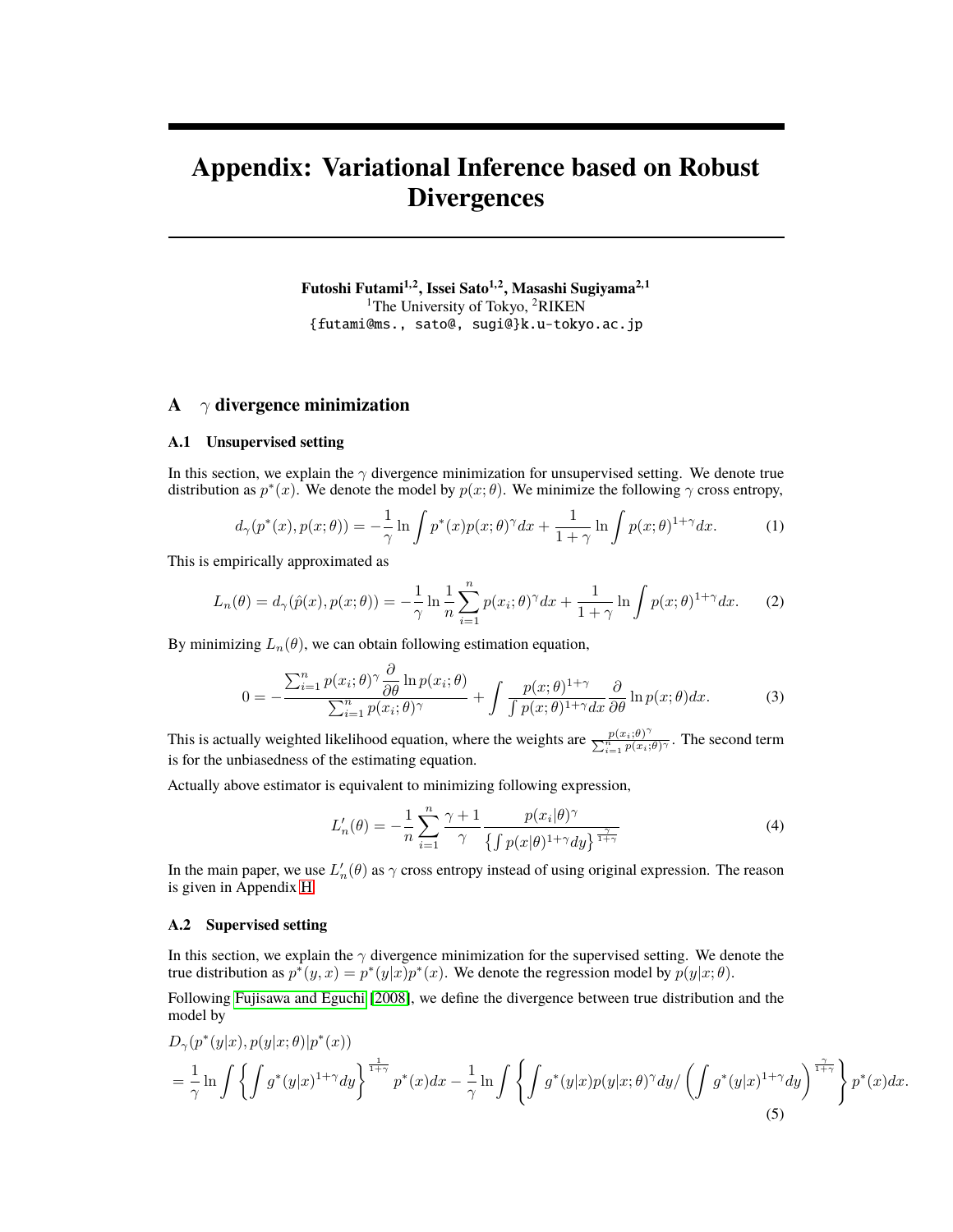# **Appendix: Variational Inference based on Robust Divergences**

**Futoshi Futami1,2, Issei Sato1,2, Masashi Sugiyama2,1** <sup>1</sup>The University of Tokyo, <sup>2</sup>RIKEN {futami@ms., sato@, sugi@}k.u-tokyo.ac.jp

## **A** *γ* **divergence minimization**

#### **A.1 Unsupervised setting**

In this section, we explain the  $\gamma$  divergence minimization for unsupervised setting. We denote true distribution as  $p^*(x)$ . We denote the model by  $p(x; \theta)$ . We minimize the following  $\gamma$  cross entropy,

$$
d_{\gamma}(p^*(x), p(x; \theta)) = -\frac{1}{\gamma} \ln \int p^*(x) p(x; \theta)^{\gamma} dx + \frac{1}{1+\gamma} \ln \int p(x; \theta)^{1+\gamma} dx.
$$
 (1)

This is empirically approximated as

$$
L_n(\theta) = d_\gamma(\hat{p}(x), p(x; \theta)) = -\frac{1}{\gamma} \ln \frac{1}{n} \sum_{i=1}^n p(x_i; \theta)^\gamma dx + \frac{1}{1+\gamma} \ln \int p(x; \theta)^{1+\gamma} dx. \tag{2}
$$

By minimizing  $L_n(\theta)$ , we can obtain following estimation equation,

$$
0 = -\frac{\sum_{i=1}^{n} p(x_i; \theta)^\gamma \frac{\partial}{\partial \theta} \ln p(x_i; \theta)}{\sum_{i=1}^{n} p(x_i; \theta)^\gamma} + \int \frac{p(x; \theta)^{1+\gamma}}{\int p(x; \theta)^{1+\gamma} dx} \frac{\partial}{\partial \theta} \ln p(x; \theta) dx. \tag{3}
$$

This is actually weighted likelihood equation, where the weights are  $\frac{p(x_i;\theta)}{\sum_{i=1}^{n} p(x_i;\theta)}$  $\frac{p(x_i;\theta)}{\sum_{i=1}^n p(x_i;\theta)}$ . The second term is for the unbiasedness of the estimating equation.

Actually above estimator is equivalent to minimizing following expression,

<span id="page-0-0"></span>
$$
L'_{n}(\theta) = -\frac{1}{n} \sum_{i=1}^{n} \frac{\gamma + 1}{\gamma} \frac{p(x_i|\theta)^{\gamma}}{\left\{ \int p(x|\theta)^{1+\gamma} dy \right\}^{\frac{\gamma}{1+\gamma}}}
$$
(4)

In the main paper, we use  $L'_n(\theta)$  as  $\gamma$  cross entropy instead of using original expression. The reason is given in Appendix [H.](#page-5-0)

## **A.2 Supervised setting**

In this section, we explain the *γ* divergence minimization for the supervised setting. We denote the true distribution as  $p^*(y, x) = p^*(y|x)p^*(x)$ . We denote the regression model by  $p(y|x; \theta)$ .

Following [Fujisawa and Eguchi](#page-16-0) [\[2008\]](#page-16-0), we define the divergence between true distribution and the model by

$$
D_{\gamma}(p^*(y|x), p(y|x; \theta)|p^*(x))
$$
  
=  $\frac{1}{\gamma} \ln \int \left\{ \int g^*(y|x)^{1+\gamma} dy \right\}^{\frac{1}{1+\gamma}} p^*(x) dx - \frac{1}{\gamma} \ln \int \left\{ \int g^*(y|x)p(y|x; \theta)^{\gamma} dy / \left( \int g^*(y|x)^{1+\gamma} dy \right)^{\frac{\gamma}{1+\gamma}} \right\} p^*(x) dx.$  (5)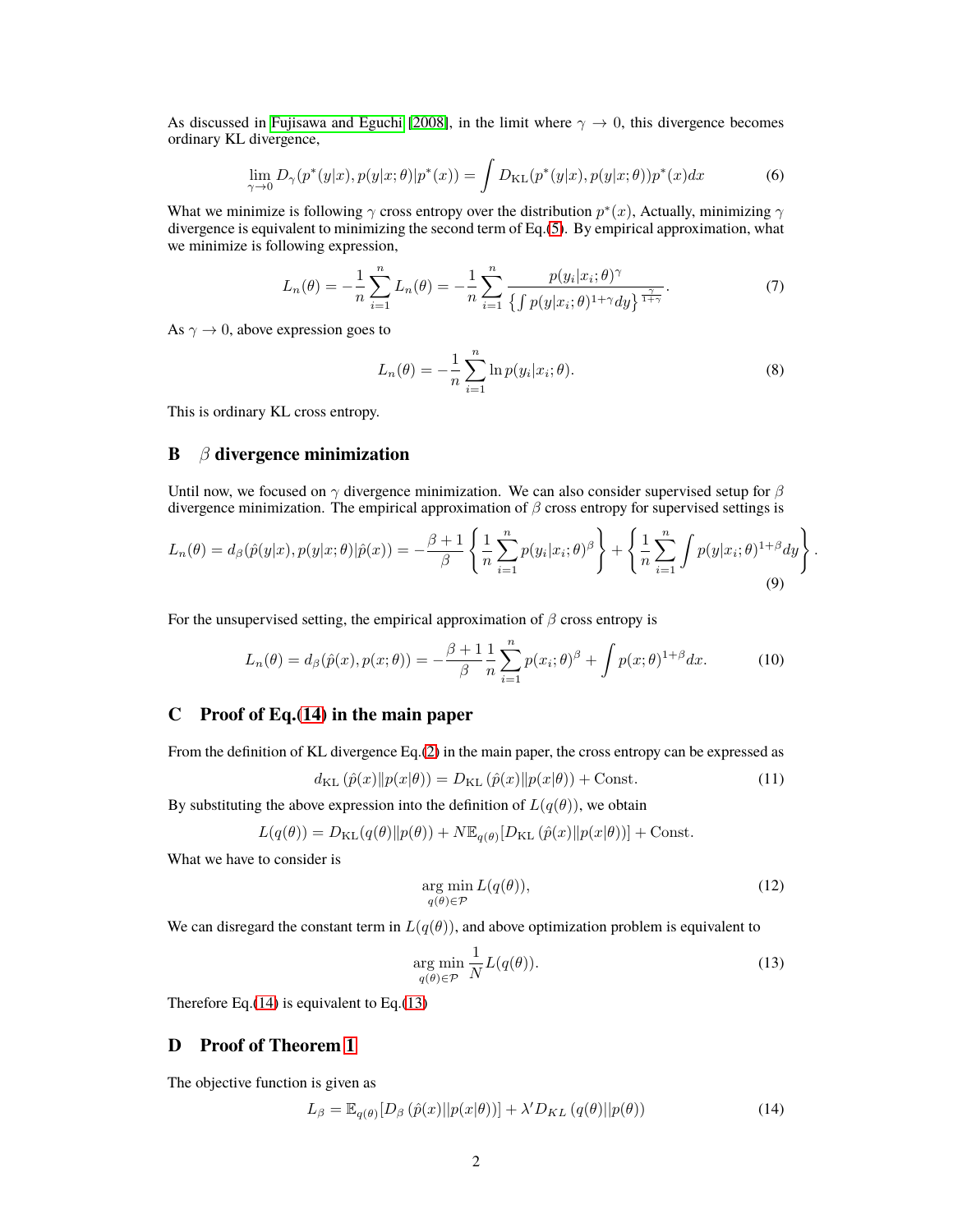As discussed in [Fujisawa and Eguchi](#page-16-0) [\[2008\]](#page-16-0), in the limit where  $\gamma \to 0$ , this divergence becomes ordinary KL divergence,

$$
\lim_{\gamma \to 0} D_{\gamma}(p^*(y|x), p(y|x; \theta)|p^*(x)) = \int D_{\mathrm{KL}}(p^*(y|x), p(y|x; \theta))p^*(x)dx \tag{6}
$$

What we minimize is following  $\gamma$  cross entropy over the distribution  $p^*(x)$ , Actually, minimizing  $\gamma$ divergence is equivalent to minimizing the second term of Eq.[\(5\)](#page-0-0). By empirical approximation, what we minimize is following expression,

$$
L_n(\theta) = -\frac{1}{n} \sum_{i=1}^n L_n(\theta) = -\frac{1}{n} \sum_{i=1}^n \frac{p(y_i | x_i; \theta)^\gamma}{\{ \int p(y | x_i; \theta)^{1+\gamma} dy \}^{\frac{\gamma}{1+\gamma}}}.
$$
(7)

As  $\gamma \to 0$ , above expression goes to

$$
L_n(\theta) = -\frac{1}{n} \sum_{i=1}^n \ln p(y_i | x_i; \theta).
$$
 (8)

 $\ddot{\phantom{1}}$ 

<span id="page-1-3"></span><span id="page-1-2"></span><span id="page-1-1"></span><span id="page-1-0"></span>*.*

This is ordinary KL cross entropy.

## **B** *β* **divergence minimization**

Until now, we focused on *γ* divergence minimization. We can also consider supervised setup for *β* divergence minimization. The empirical approximation of *β* cross entropy for supervised settings is

$$
L_n(\theta) = d_\beta(\hat{p}(y|x), p(y|x;\theta)|\hat{p}(x)) = -\frac{\beta+1}{\beta} \left\{ \frac{1}{n} \sum_{i=1}^n p(y_i|x_i;\theta)^{\beta} \right\} + \left\{ \frac{1}{n} \sum_{i=1}^n \int p(y|x_i;\theta)^{1+\beta} dy \right\}
$$
(9)

For the unsupervised setting, the empirical approximation of  $\beta$  cross entropy is

$$
L_n(\theta) = d_{\beta}(\hat{p}(x), p(x; \theta)) = -\frac{\beta + 1}{\beta} \frac{1}{n} \sum_{i=1}^n p(x_i; \theta)^{\beta} + \int p(x; \theta)^{1+\beta} dx.
$$
 (10)

## **C Proof of Eq.(14) in the main paper**

From the definition of KL divergence Eq.(2) in the main paper, the cross entropy can be expressed as

$$
d_{\mathrm{KL}}\left(\hat{p}(x)\|p(x|\theta)\right) = D_{\mathrm{KL}}\left(\hat{p}(x)\|p(x|\theta)\right) + \mathrm{Const.}\tag{11}
$$

By substituting the above expression into the definition of  $L(q(\theta))$ , we obtain

$$
L(q(\theta)) = D_{\mathrm{KL}}(q(\theta) || p(\theta)) + N \mathbb{E}_{q(\theta)} [D_{\mathrm{KL}}(\hat{p}(x) || p(x|\theta))] + \mathrm{Const.}
$$

What we have to consider is

$$
\underset{q(\theta)\in\mathcal{P}}{\arg\min} L(q(\theta)),\tag{12}
$$

We can disregard the constant term in  $L(q(\theta))$ , and above optimization problem is equivalent to

$$
\underset{q(\theta)\in\mathcal{P}}{\arg\min} \frac{1}{N} L(q(\theta)).\tag{13}
$$

Therefore Eq. $(14)$  is equivalent to Eq. $(13)$ 

## **D Proof of Theorem [1](#page-12-0)**

The objective function is given as

$$
L_{\beta} = \mathbb{E}_{q(\theta)}[D_{\beta}(\hat{p}(x)||p(x|\theta))] + \lambda' D_{KL}(q(\theta)||p(\theta))
$$
\n(14)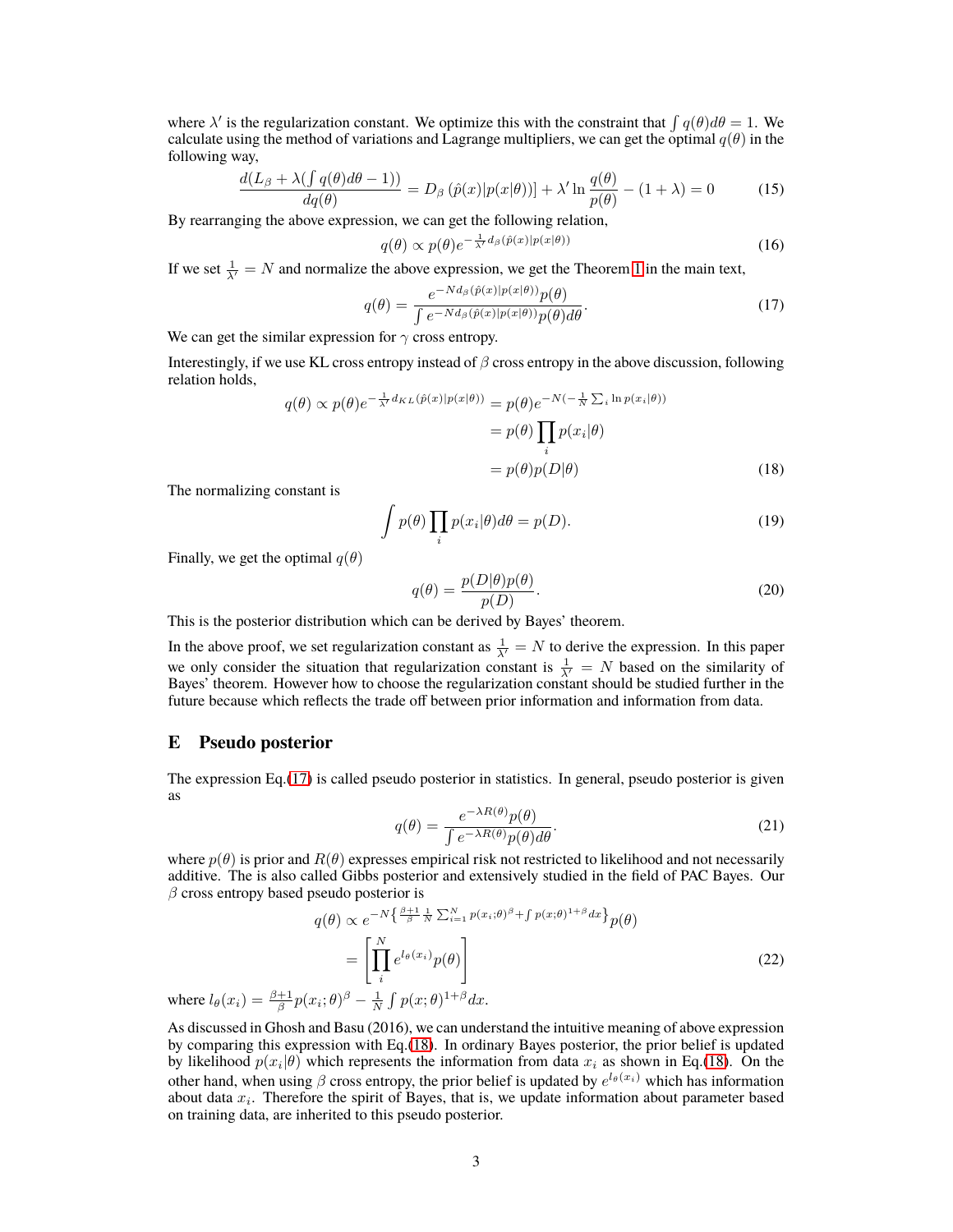where  $\lambda'$  is the regularization constant. We optimize this with the constraint that  $\int q(\theta) d\theta = 1$ . We calculate using the method of variations and Lagrange multipliers, we can get the optimal  $q(\theta)$  in the following way,

$$
\frac{d(L_{\beta} + \lambda(\int q(\theta)d\theta - 1))}{dq(\theta)} = D_{\beta}(\hat{p}(x)|p(x|\theta)) + \lambda' \ln \frac{q(\theta)}{p(\theta)} - (1 + \lambda) = 0 \tag{15}
$$

By rearranging the above expression, we can get the following relation,

<span id="page-2-0"></span>
$$
q(\theta) \propto p(\theta) e^{-\frac{1}{\lambda'} d_{\beta}(\hat{p}(x)|p(x|\theta))}
$$
\n(16)

If we set  $\frac{1}{\lambda'} = N$  $\frac{1}{\lambda'} = N$  $\frac{1}{\lambda'} = N$  and normalize the above expression, we get the Theorem 1 in the main text,

$$
q(\theta) = \frac{e^{-Nd_{\beta}(\hat{p}(x)|p(x|\theta))}p(\theta)}{\int e^{-Nd_{\beta}(\hat{p}(x)|p(x|\theta))}p(\theta)d\theta}.
$$
 (17)

We can get the similar expression for *γ* cross entropy.

Interestingly, if we use KL cross entropy instead of *β* cross entropy in the above discussion, following relation holds,

$$
q(\theta) \propto p(\theta)e^{-\frac{1}{\lambda'}d_{KL}(\hat{p}(x)|p(x|\theta))} = p(\theta)e^{-N(-\frac{1}{N}\sum_{i}\ln p(x_i|\theta))}
$$

$$
= p(\theta)\prod_{i}p(x_i|\theta)
$$

$$
= p(\theta)p(D|\theta)
$$
(18)

The normalizing constant is

$$
\int p(\theta) \prod_{i} p(x_i|\theta) d\theta = p(D). \tag{19}
$$

Finally, we get the optimal  $q(\theta)$ 

<span id="page-2-1"></span>
$$
q(\theta) = \frac{p(D|\theta)p(\theta)}{p(D)}.
$$
\n(20)

This is the posterior distribution which can be derived by Bayes' theorem.

In the above proof, we set regularization constant as  $\frac{1}{\lambda'} = N$  to derive the expression. In this paper we only consider the situation that regularization constant is  $\frac{1}{\lambda'} = N$  based on the similarity of Bayes' theorem. However how to choose the regularization constant should be studied further in the future because which reflects the trade off between prior information and information from data.

## **E Pseudo posterior**

The expression Eq.[\(17\)](#page-2-0) is called pseudo posterior in statistics. In general, pseudo posterior is given as

$$
q(\theta) = \frac{e^{-\lambda R(\theta)} p(\theta)}{\int e^{-\lambda R(\theta)} p(\theta) d\theta}.
$$
 (21)

where  $p(\theta)$  is prior and  $R(\theta)$  expresses empirical risk not restricted to likelihood and not necessarily additive. The is also called Gibbs posterior and extensively studied in the field of PAC Bayes. Our *β* cross entropy based pseudo posterior is

$$
q(\theta) \propto e^{-N\left\{\frac{\beta+1}{\beta} \frac{1}{N} \sum_{i=1}^{N} p(x_i;\theta)^{\beta} + \int p(x;\theta)^{1+\beta} dx\right\}} p(\theta)
$$

$$
= \left[\prod_{i}^{N} e^{l_{\theta}(x_i)} p(\theta)\right]
$$

$$
(x_i; \theta)^{\beta} - \frac{1}{N} \int p(x;\theta)^{1+\beta} dx.
$$
 (22)

where  $l_{\theta}(x_i) = \frac{\beta + 1}{\beta} p(x_i)$ ; *θ*) *<sup>β</sup> − N p*(*x*; *θ*) 1+*<sup>β</sup>dx*.

As discussed in Ghosh and Basu (2016), we can understand the intuitive meaning of above expression by comparing this expression with Eq.[\(18\)](#page-2-1). In ordinary Bayes posterior, the prior belief is updated by likelihood  $p(x_i|\theta)$  which represents the information from data  $x_i$  as shown in Eq.[\(18\)](#page-2-1). On the other hand, when using *β* cross entropy, the prior belief is updated by *e <sup>l</sup>θ*(*xi*) which has information about data *x<sup>i</sup>* . Therefore the spirit of Bayes, that is, we update information about parameter based on training data, are inherited to this pseudo posterior.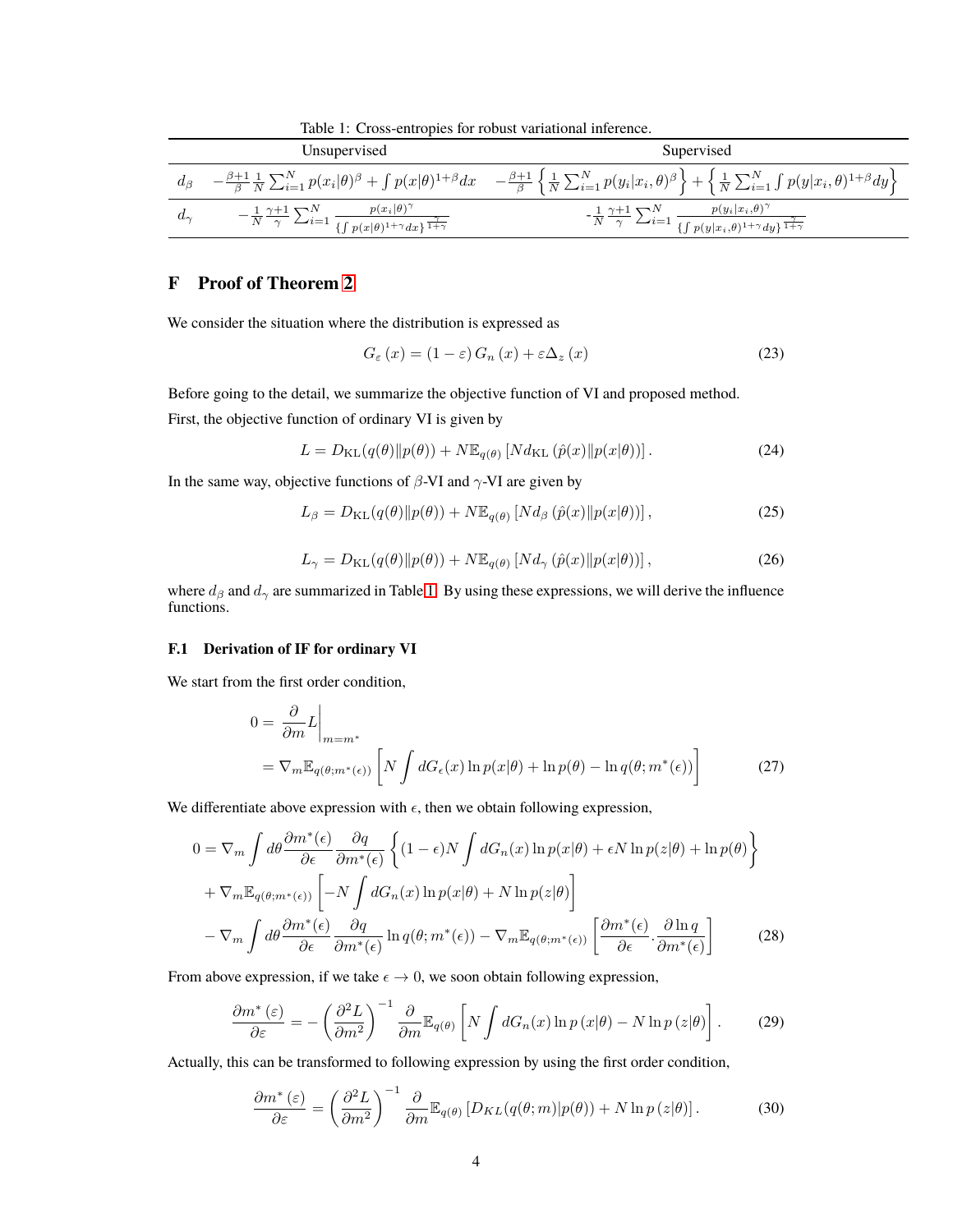<span id="page-3-0"></span>Table 1: Cross-entropies for robust variational inference.

|             | Unsupervised                                                                                                                              | Supervised                                                                                                                                                                                                                                                             |
|-------------|-------------------------------------------------------------------------------------------------------------------------------------------|------------------------------------------------------------------------------------------------------------------------------------------------------------------------------------------------------------------------------------------------------------------------|
| $a_{\beta}$ |                                                                                                                                           | $-\frac{\beta+1}{\beta}\frac{1}{N}\sum_{i=1}^N p(x_i \theta)^{\beta} + \int p(x \theta)^{1+\beta}dx - \frac{\beta+1}{\beta}\left\{\frac{1}{N}\sum_{i=1}^N p(y_i x_i,\theta)^{\beta}\right\} + \left\{\frac{1}{N}\sum_{i=1}^N \int p(y x_i,\theta)^{1+\beta}dy\right\}$ |
| $a_{\sim}$  | $-\frac{1}{N}\frac{\gamma+1}{\gamma}\sum_{i=1}^N\frac{p(x_i \theta)^\gamma}{\{\int p(x \theta)^{1+\gamma}dx\}^{\frac{\gamma}{1+\gamma}}}$ | $-\frac{1}{N}\frac{\gamma+1}{\gamma}\sum_{i=1}^N\frac{p(y_i x_i,\theta)^\gamma}{\{\int p(y x_i,\theta)^{1+\gamma}dy\}^\frac{\gamma}{1+\gamma}}$                                                                                                                        |

# **F Proof of Theorem 2**

We consider the situation where the distribution is expressed as

$$
G_{\varepsilon}(x) = (1 - \varepsilon) G_n(x) + \varepsilon \Delta_z(x)
$$
\n(23)

Before going to the detail, we summarize the objective function of VI and proposed method. First, the objective function of ordinary VI is given by

$$
L = D_{\mathrm{KL}}(q(\theta) \| p(\theta)) + N \mathbb{E}_{q(\theta)} \left[ N d_{\mathrm{KL}}\left( \hat{p}(x) \| p(x|\theta) \right) \right]. \tag{24}
$$

In the same way, objective functions of *β*-VI and *γ*-VI are given by

$$
L_{\beta} = D_{\mathrm{KL}}(q(\theta) \| p(\theta)) + N \mathbb{E}_{q(\theta)} \left[ N d_{\beta} \left( \hat{p}(x) \| p(x|\theta) \right) \right],\tag{25}
$$

$$
L_{\gamma} = D_{\text{KL}}(q(\theta) \| p(\theta)) + N \mathbb{E}_{q(\theta)} \left[ N d_{\gamma} \left( \hat{p}(x) \| p(x|\theta) \right) \right],\tag{26}
$$

where  $d_{\beta}$  and  $d_{\gamma}$  are summarized in Table [1.](#page-3-0) By using these expressions, we will derive the influence functions.

## **F.1 Derivation of IF for ordinary VI**

We start from the first order condition,

$$
0 = \frac{\partial}{\partial m} L \Big|_{m = m^*}
$$
  
=  $\nabla_m \mathbb{E}_{q(\theta; m^*(\epsilon))} \left[ N \int dG_{\epsilon}(x) \ln p(x|\theta) + \ln p(\theta) - \ln q(\theta; m^*(\epsilon)) \right]$  (27)

We differentiate above expression with  $\epsilon$ , then we obtain following expression,

$$
0 = \nabla_m \int d\theta \frac{\partial m^*(\epsilon)}{\partial \epsilon} \frac{\partial q}{\partial m^*(\epsilon)} \left\{ (1 - \epsilon) N \int dG_n(x) \ln p(x|\theta) + \epsilon N \ln p(z|\theta) + \ln p(\theta) \right\}
$$
  
+ 
$$
\nabla_m \mathbb{E}_{q(\theta; m^*(\epsilon))} \left[ -N \int dG_n(x) \ln p(x|\theta) + N \ln p(z|\theta) \right]
$$
  
- 
$$
\nabla_m \int d\theta \frac{\partial m^*(\epsilon)}{\partial \epsilon} \frac{\partial q}{\partial m^*(\epsilon)} \ln q(\theta; m^*(\epsilon)) - \nabla_m \mathbb{E}_{q(\theta; m^*(\epsilon))} \left[ \frac{\partial m^*(\epsilon)}{\partial \epsilon} \cdot \frac{\partial \ln q}{\partial m^*(\epsilon)} \right]
$$
(28)

From above expression, if we take  $\epsilon \to 0$ , we soon obtain following expression,

$$
\frac{\partial m^*(\varepsilon)}{\partial \varepsilon} = -\left(\frac{\partial^2 L}{\partial m^2}\right)^{-1} \frac{\partial}{\partial m} \mathbb{E}_{q(\theta)} \left[ N \int dG_n(x) \ln p(x|\theta) - N \ln p(z|\theta) \right]. \tag{29}
$$

Actually, this can be transformed to following expression by using the first order condition,

<span id="page-3-1"></span>
$$
\frac{\partial m^*(\varepsilon)}{\partial \varepsilon} = \left(\frac{\partial^2 L}{\partial m^2}\right)^{-1} \frac{\partial}{\partial m} \mathbb{E}_{q(\theta)} \left[D_{KL}(q(\theta; m)|p(\theta)) + N \ln p(z|\theta)\right]. \tag{30}
$$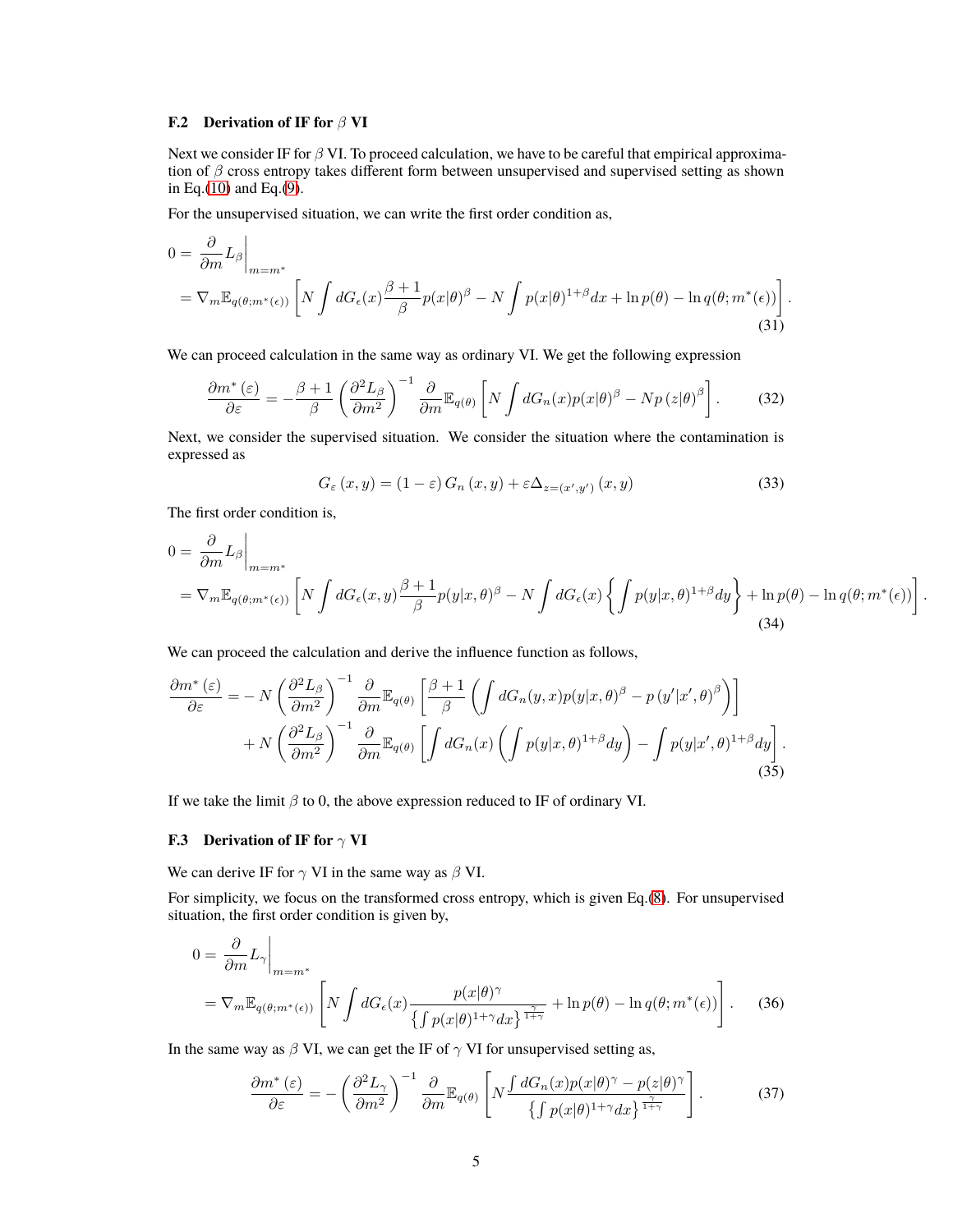## **F.2 Derivation of IF for** *β* **VI**

Next we consider IF for *β* VI. To proceed calculation, we have to be careful that empirical approximation of *β* cross entropy takes different form between unsupervised and supervised setting as shown in Eq.[\(10\)](#page-1-0) and Eq.[\(9\)](#page-1-1).

For the unsupervised situation, we can write the first order condition as,

$$
0 = \frac{\partial}{\partial m} L_{\beta} \Big|_{m = m^*}
$$
  
=  $\nabla_m \mathbb{E}_{q(\theta; m^*(\epsilon))} \left[ N \int dG_{\epsilon}(x) \frac{\beta + 1}{\beta} p(x|\theta)^{\beta} - N \int p(x|\theta)^{1+\beta} dx + \ln p(\theta) - \ln q(\theta; m^*(\epsilon)) \right].$  (31)

We can proceed calculation in the same way as ordinary VI. We get the following expression

$$
\frac{\partial m^*(\varepsilon)}{\partial \varepsilon} = -\frac{\beta + 1}{\beta} \left( \frac{\partial^2 L_\beta}{\partial m^2} \right)^{-1} \frac{\partial}{\partial m} \mathbb{E}_{q(\theta)} \left[ N \int dG_n(x) p(x|\theta)^\beta - N p(z|\theta)^\beta \right]. \tag{32}
$$

Next, we consider the supervised situation. We consider the situation where the contamination is expressed as

$$
G_{\varepsilon}(x,y) = (1 - \varepsilon) G_n(x,y) + \varepsilon \Delta_{z = (x',y')} (x,y)
$$
\n(33)

The first order condition is,

$$
0 = \frac{\partial}{\partial m} L_{\beta} \Big|_{m = m^*}
$$
  
=  $\nabla_m \mathbb{E}_{q(\theta; m^*(\epsilon))} \left[ N \int dG_{\epsilon}(x, y) \frac{\beta + 1}{\beta} p(y|x, \theta)^{\beta} - N \int dG_{\epsilon}(x) \left\{ \int p(y|x, \theta)^{1+\beta} dy \right\} + \ln p(\theta) - \ln q(\theta; m^*(\epsilon)) \right\}$  (34)

<span id="page-4-0"></span>*.*

We can proceed the calculation and derive the influence function as follows,

$$
\frac{\partial m^* \left(\varepsilon\right)}{\partial \varepsilon} = -N \left(\frac{\partial^2 L_\beta}{\partial m^2}\right)^{-1} \frac{\partial}{\partial m} \mathbb{E}_{q(\theta)} \left[\frac{\beta+1}{\beta} \left(\int dG_n(y,x) p(y|x,\theta)^{\beta} - p(y'|x',\theta)^{\beta}\right)\right] + N \left(\frac{\partial^2 L_\beta}{\partial m^2}\right)^{-1} \frac{\partial}{\partial m} \mathbb{E}_{q(\theta)} \left[\int dG_n(x) \left(\int p(y|x,\theta)^{1+\beta} dy\right) - \int p(y|x',\theta)^{1+\beta} dy\right].
$$
\n(35)

If we take the limit *β* to 0, the above expression reduced to IF of ordinary VI.

#### **F.3 Derivation of IF for** *γ* **VI**

We can derive IF for *γ* VI in the same way as *β* VI.

For simplicity, we focus on the transformed cross entropy, which is given Eq.[\(8\)](#page-1-2). For unsupervised situation, the first order condition is given by,

$$
0 = \frac{\partial}{\partial m} L_{\gamma} \Big|_{m = m^*}
$$
  
=  $\nabla_m \mathbb{E}_{q(\theta; m^*(\epsilon))} \left[ N \int dG_{\epsilon}(x) \frac{p(x|\theta)^{\gamma}}{\{ \int p(x|\theta)^{1+\gamma} dx \}^{\frac{\gamma}{1+\gamma}}} + \ln p(\theta) - \ln q(\theta; m^*(\epsilon)) \right].$  (36)

In the same way as  $\beta$  VI, we can get the IF of  $\gamma$  VI for unsupervised setting as,

$$
\frac{\partial m^*(\varepsilon)}{\partial \varepsilon} = -\left(\frac{\partial^2 L_\gamma}{\partial m^2}\right)^{-1} \frac{\partial}{\partial m} \mathbb{E}_{q(\theta)} \left[ N \frac{\int dG_n(x) p(x|\theta)^\gamma - p(z|\theta)^\gamma}{\left\{ \int p(x|\theta)^{1+\gamma} dx \right\}^{\frac{\gamma}{1+\gamma}}} \right].
$$
 (37)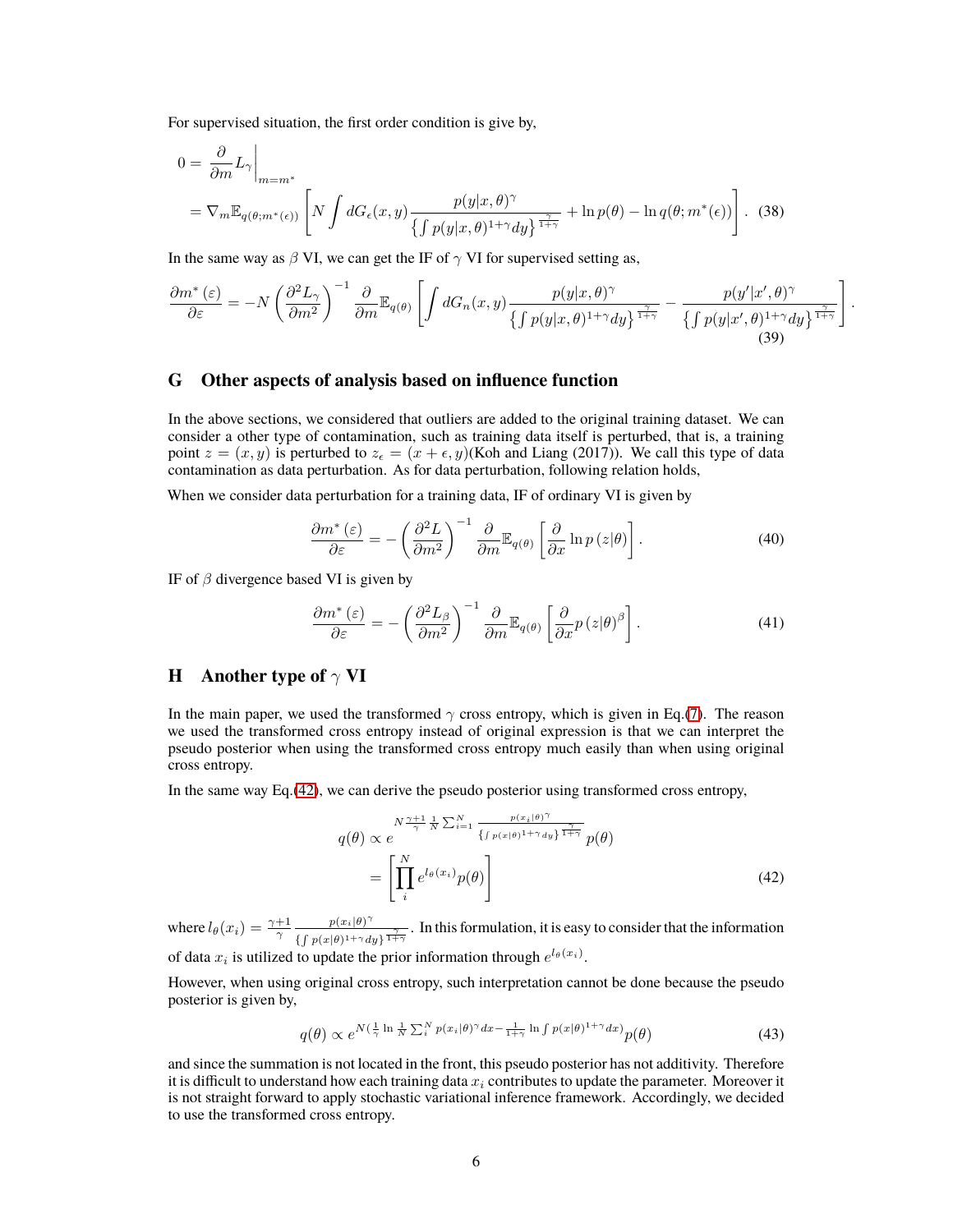For supervised situation, the first order condition is give by,

$$
0 = \frac{\partial}{\partial m} L_{\gamma} \Big|_{m = m^*}
$$
  
=  $\nabla_m \mathbb{E}_{q(\theta; m^*(\epsilon))} \left[ N \int dG_{\epsilon}(x, y) \frac{p(y|x, \theta)^{\gamma}}{\{ \int p(y|x, \theta)^{1+\gamma} dy \}^{\frac{\gamma}{1+\gamma}}} + \ln p(\theta) - \ln q(\theta; m^*(\epsilon)) \right].$  (38)

In the same way as  $\beta$  VI, we can get the IF of  $\gamma$  VI for supervised setting as,

$$
\frac{\partial m^*(\varepsilon)}{\partial \varepsilon} = -N \left( \frac{\partial^2 L_\gamma}{\partial m^2} \right)^{-1} \frac{\partial}{\partial m} \mathbb{E}_{q(\theta)} \left[ \int dG_n(x, y) \frac{p(y|x, \theta)^\gamma}{\left\{ \int p(y|x, \theta)^{1+\gamma} dy \right\}^{\frac{\gamma}{1+\gamma}}} - \frac{p(y'|x', \theta)^\gamma}{\left\{ \int p(y|x', \theta)^{1+\gamma} dy \right\}^{\frac{\gamma}{1+\gamma}}} \right]
$$
(39)

<span id="page-5-3"></span><span id="page-5-2"></span>*.*

## **G Other aspects of analysis based on influence function**

In the above sections, we considered that outliers are added to the original training dataset. We can consider a other type of contamination, such as training data itself is perturbed, that is, a training point  $z = (x, y)$  is perturbed to  $z_\epsilon = (x + \epsilon, y)$ (Koh and Liang (2017)). We call this type of data contamination as data perturbation. As for data perturbation, following relation holds,

When we consider data perturbation for a training data, IF of ordinary VI is given by

$$
\frac{\partial m^*(\varepsilon)}{\partial \varepsilon} = -\left(\frac{\partial^2 L}{\partial m^2}\right)^{-1} \frac{\partial}{\partial m} \mathbb{E}_{q(\theta)} \left[\frac{\partial}{\partial x} \ln p(z|\theta)\right]. \tag{40}
$$

IF of *β* divergence based VI is given by

$$
\frac{\partial m^*(\varepsilon)}{\partial \varepsilon} = -\left(\frac{\partial^2 L_\beta}{\partial m^2}\right)^{-1} \frac{\partial}{\partial m} \mathbb{E}_{q(\theta)} \left[\frac{\partial}{\partial x} p(z|\theta)^\beta\right]. \tag{41}
$$

## <span id="page-5-0"></span>**H Another type of** *γ* **VI**

In the main paper, we used the transformed  $\gamma$  cross entropy, which is given in Eq.[\(7\)](#page-1-3). The reason we used the transformed cross entropy instead of original expression is that we can interpret the pseudo posterior when using the transformed cross entropy much easily than when using original cross entropy.

In the same way Eq.[\(42\)](#page-5-1), we can derive the pseudo posterior using transformed cross entropy,

<span id="page-5-1"></span>
$$
q(\theta) \propto e^{N \frac{\gamma+1}{\gamma} \frac{1}{N} \sum_{i=1}^{N} \frac{p(x_i|\theta)^{\gamma}}{\{f p(x|\theta)^{1+\gamma} dy\}^{\frac{\gamma}{1+\gamma}}} p(\theta)}
$$

$$
= \left[ \prod_{i}^{N} e^{l_{\theta}(x_i)} p(\theta) \right]
$$
(42)

where  $l_{\theta}(x_i) = \frac{\gamma + 1}{\gamma} \frac{p(x_i|\theta)^{\gamma}}{\int (f(x_i|\theta))^2 dx_i}$  $\frac{p(x_i|\theta)^T}{\int \int p(x|\theta)^{1+\gamma} dy}$ . In this formulation, it is easy to consider that the information of data  $x_i$  is utilized to update the prior information through  $e^{l_\theta(x_i)}$ .

However, when using original cross entropy, such interpretation cannot be done because the pseudo posterior is given by,

$$
q(\theta) \propto e^{N(\frac{1}{\gamma}\ln\frac{1}{N}\sum_{i}^{N}p(x_{i}|\theta)^{\gamma}dx - \frac{1}{1+\gamma}\ln\int p(x|\theta)^{1+\gamma}dx)}p(\theta)
$$
\n(43)

and since the summation is not located in the front, this pseudo posterior has not additivity. Therefore it is difficult to understand how each training data *x<sup>i</sup>* contributes to update the parameter. Moreover it is not straight forward to apply stochastic variational inference framework. Accordingly, we decided to use the transformed cross entropy.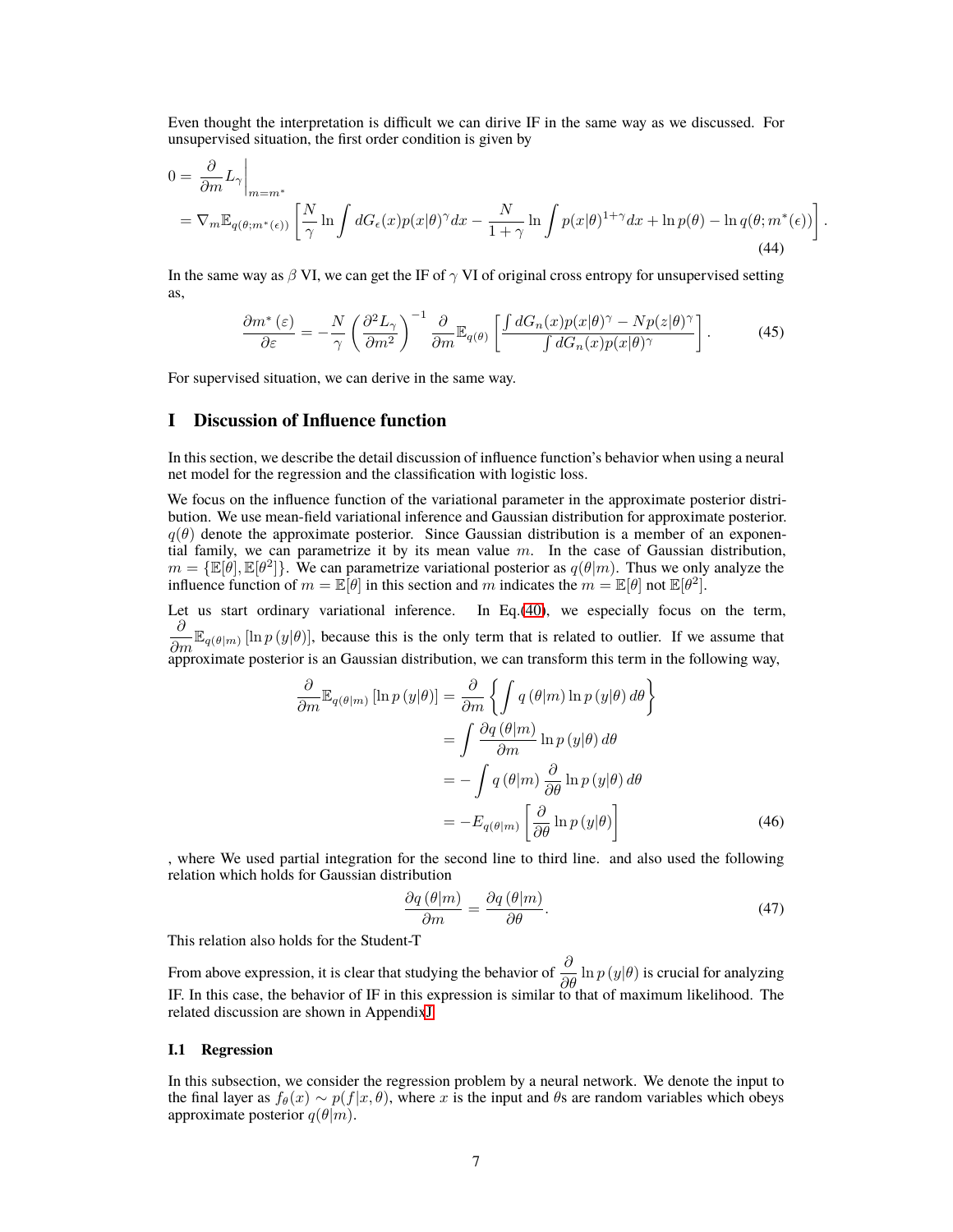Even thought the interpretation is difficult we can dirive IF in the same way as we discussed. For unsupervised situation, the first order condition is given by

$$
0 = \frac{\partial}{\partial m} L_{\gamma} \Big|_{m = m^*}
$$
  
=  $\nabla_m \mathbb{E}_{q(\theta; m^*(\epsilon))} \left[ \frac{N}{\gamma} \ln \int dG_{\epsilon}(x) p(x|\theta)^{\gamma} dx - \frac{N}{1 + \gamma} \ln \int p(x|\theta)^{1 + \gamma} dx + \ln p(\theta) - \ln q(\theta; m^*(\epsilon)) \right]$  (44)

*.*

In the same way as  $\beta$  VI, we can get the IF of  $\gamma$  VI of original cross entropy for unsupervised setting as,

$$
\frac{\partial m^*(\varepsilon)}{\partial \varepsilon} = -\frac{N}{\gamma} \left( \frac{\partial^2 L_\gamma}{\partial m^2} \right)^{-1} \frac{\partial}{\partial m} \mathbb{E}_{q(\theta)} \left[ \frac{\int dG_n(x) p(x|\theta)^\gamma - Np(z|\theta)^\gamma}{\int dG_n(x) p(x|\theta)^\gamma} \right]. \tag{45}
$$

For supervised situation, we can derive in the same way.

## <span id="page-6-1"></span>**I Discussion of Influence function**

In this section, we describe the detail discussion of influence function's behavior when using a neural net model for the regression and the classification with logistic loss.

We focus on the influence function of the variational parameter in the approximate posterior distribution. We use mean-field variational inference and Gaussian distribution for approximate posterior.  $q(\theta)$  denote the approximate posterior. Since Gaussian distribution is a member of an exponential family, we can parametrize it by its mean value *m*. In the case of Gaussian distribution,  $m = {\mathbb{E}[\theta], \mathbb{E}[\theta^2]}$ . We can parametrize variational posterior as  $q(\theta|m)$ . Thus we only analyze the influence function of  $m = \mathbb{E}[\theta]$  in this section and  $m$  indicates the  $m = \mathbb{E}[\theta]$  not  $\mathbb{E}[\theta^2]$ .

Let us start ordinary variational inference. In Eq.[\(40\)](#page-5-2), we especially focus on the term,  $\frac{\partial}{\partial m} \mathbb{E}_{q(\theta|m)} [\ln p(y|\theta)]$ , because this is the only term that is related to outlier. If we assume that  $\frac{\partial m}{\partial p}$  approximate posterior is an Gaussian distribution, we can transform this term in the following way,

$$
\frac{\partial}{\partial m} \mathbb{E}_{q(\theta|m)} \left[ \ln p(y|\theta) \right] = \frac{\partial}{\partial m} \left\{ \int q(\theta|m) \ln p(y|\theta) d\theta \right\}
$$

$$
= \int \frac{\partial q(\theta|m)}{\partial m} \ln p(y|\theta) d\theta
$$

$$
= -\int q(\theta|m) \frac{\partial}{\partial \theta} \ln p(y|\theta) d\theta
$$

$$
= -E_{q(\theta|m)} \left[ \frac{\partial}{\partial \theta} \ln p(y|\theta) \right]
$$
(46)

, where We used partial integration for the second line to third line. and also used the following relation which holds for Gaussian distribution

<span id="page-6-0"></span>
$$
\frac{\partial q(\theta|m)}{\partial m} = \frac{\partial q(\theta|m)}{\partial \theta}.
$$
\n(47)

This relation also holds for the Student-T

From above expression, it is clear that studying the behavior of  $\frac{\partial}{\partial \theta} \ln p(y|\theta)$  is crucial for analyzing IF. In this case, the behavior of IF in this expression is similar to that of maximum likelihood. The related discussion are shown in Appendi[xJ](#page-11-0)

#### **I.1 Regression**

In this subsection, we consider the regression problem by a neural network. We denote the input to the final layer as  $f_\theta(x) \sim p(f|x, \theta)$ , where *x* is the input and  $\theta$ s are random variables which obeys approximate posterior  $q(\theta|m)$ .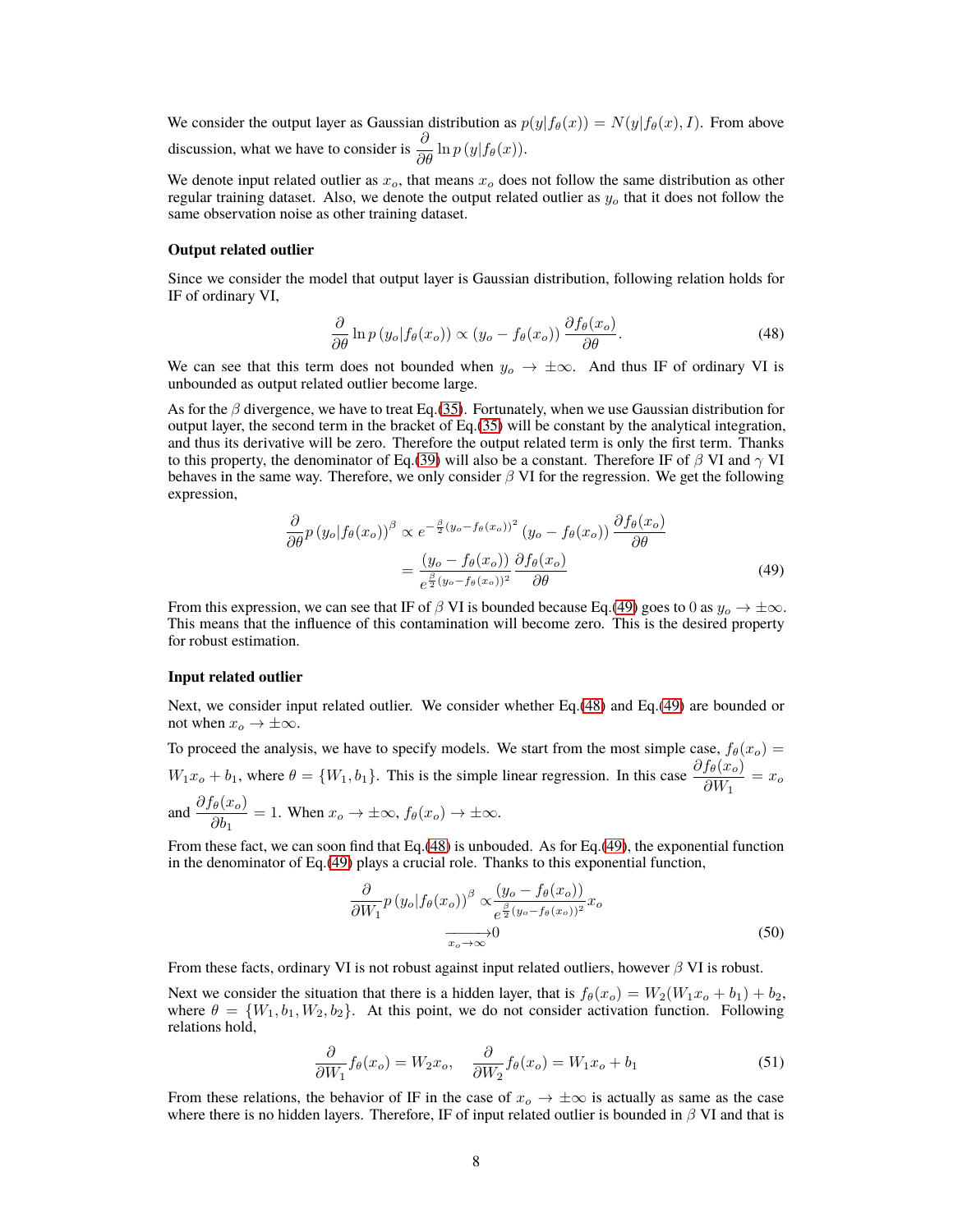We consider the output layer as Gaussian distribution as  $p(y|f_{\theta}(x)) = N(y|f_{\theta}(x), I)$ . From above discussion, what we have to consider is  $\frac{\partial}{\partial \theta} \ln p(y|f_{\theta}(x))$ .

We denote input related outlier as *xo*, that means *x<sup>o</sup>* does not follow the same distribution as other regular training dataset. Also, we denote the output related outlier as *y<sup>o</sup>* that it does not follow the same observation noise as other training dataset.

#### **Output related outlier**

Since we consider the model that output layer is Gaussian distribution, following relation holds for IF of ordinary VI,

<span id="page-7-1"></span>
$$
\frac{\partial}{\partial \theta} \ln p(y_o | f_{\theta}(x_o)) \propto (y_o - f_{\theta}(x_o)) \frac{\partial f_{\theta}(x_o)}{\partial \theta}.
$$
\n(48)

We can see that this term does not bounded when  $y_o \to \pm \infty$ . And thus IF of ordinary VI is unbounded as output related outlier become large.

As for the *β* divergence, we have to treat Eq.[\(35\)](#page-4-0). Fortunately, when we use Gaussian distribution for output layer, the second term in the bracket of Eq.[\(35\)](#page-4-0) will be constant by the analytical integration, and thus its derivative will be zero. Therefore the output related term is only the first term. Thanks to this property, the denominator of Eq.[\(39\)](#page-5-3) will also be a constant. Therefore IF of *β* VI and *γ* VI behaves in the same way. Therefore, we only consider *β* VI for the regression. We get the following expression,

<span id="page-7-0"></span>
$$
\frac{\partial}{\partial \theta} p (y_o | f_{\theta}(x_o))^{\beta} \propto e^{-\frac{\beta}{2} (y_o - f_{\theta}(x_o))^2} (y_o - f_{\theta}(x_o)) \frac{\partial f_{\theta}(x_o)}{\partial \theta} \n= \frac{(y_o - f_{\theta}(x_o))}{e^{\frac{\beta}{2} (y_o - f_{\theta}(x_o))^2}} \frac{\partial f_{\theta}(x_o)}{\partial \theta}
$$
\n(49)

From this expression, we can see that IF of *β* VI is bounded because Eq.[\(49\)](#page-7-0) goes to 0 as *y<sup>o</sup> → ±∞*. This means that the influence of this contamination will become zero. This is the desired property for robust estimation.

#### **Input related outlier**

Next, we consider input related outlier. We consider whether Eq.[\(48\)](#page-7-1) and Eq.[\(49\)](#page-7-0) are bounded or not when  $x_o \rightarrow \pm \infty$ .

To proceed the analysis, we have to specify models. We start from the most simple case,  $f_\theta(x_o)$  =  $W_1x_o + b_1$ , where  $\theta = \{W_1, b_1\}$ . This is the simple linear regression. In this case  $\frac{\partial f_{\theta}(x_o)}{\partial W_1} = x_o$ and  $\frac{\partial f_{\theta}(x_o)}{\partial b_1} = 1$ . When  $x_o \to \pm \infty$ ,  $f_{\theta}(x_o) \to \pm \infty$ .

From these fact, we can soon find that Eq.[\(48\)](#page-7-1) is unbouded. As for Eq.[\(49\)](#page-7-0), the exponential function in the denominator of Eq.[\(49\)](#page-7-0) plays a crucial role. Thanks to this exponential function,

$$
\frac{\partial}{\partial W_1} p \left( y_o | f_\theta(x_o) \right)^\beta \propto \frac{\left( y_o - f_\theta(x_o) \right)}{e^{\frac{\beta}{2} (y_o - f_\theta(x_o))^2}} x_o
$$
\n
$$
\xrightarrow[x_o \to \infty]{} 0 \tag{50}
$$

From these facts, ordinary VI is not robust against input related outliers, however *β* VI is robust.

Next we consider the situation that there is a hidden layer, that is  $f_\theta(x_o) = W_2(W_1 x_o + b_1) + b_2$ , where  $\theta = \{W_1, b_1, W_2, b_2\}$ . At this point, we do not consider activation function. Following relations hold,

$$
\frac{\partial}{\partial W_1} f_\theta(x_o) = W_2 x_o, \quad \frac{\partial}{\partial W_2} f_\theta(x_o) = W_1 x_o + b_1 \tag{51}
$$

From these relations, the behavior of IF in the case of  $x_o \to \pm \infty$  is actually as same as the case where there is no hidden layers. Therefore, IF of input related outlier is bounded in *β* VI and that is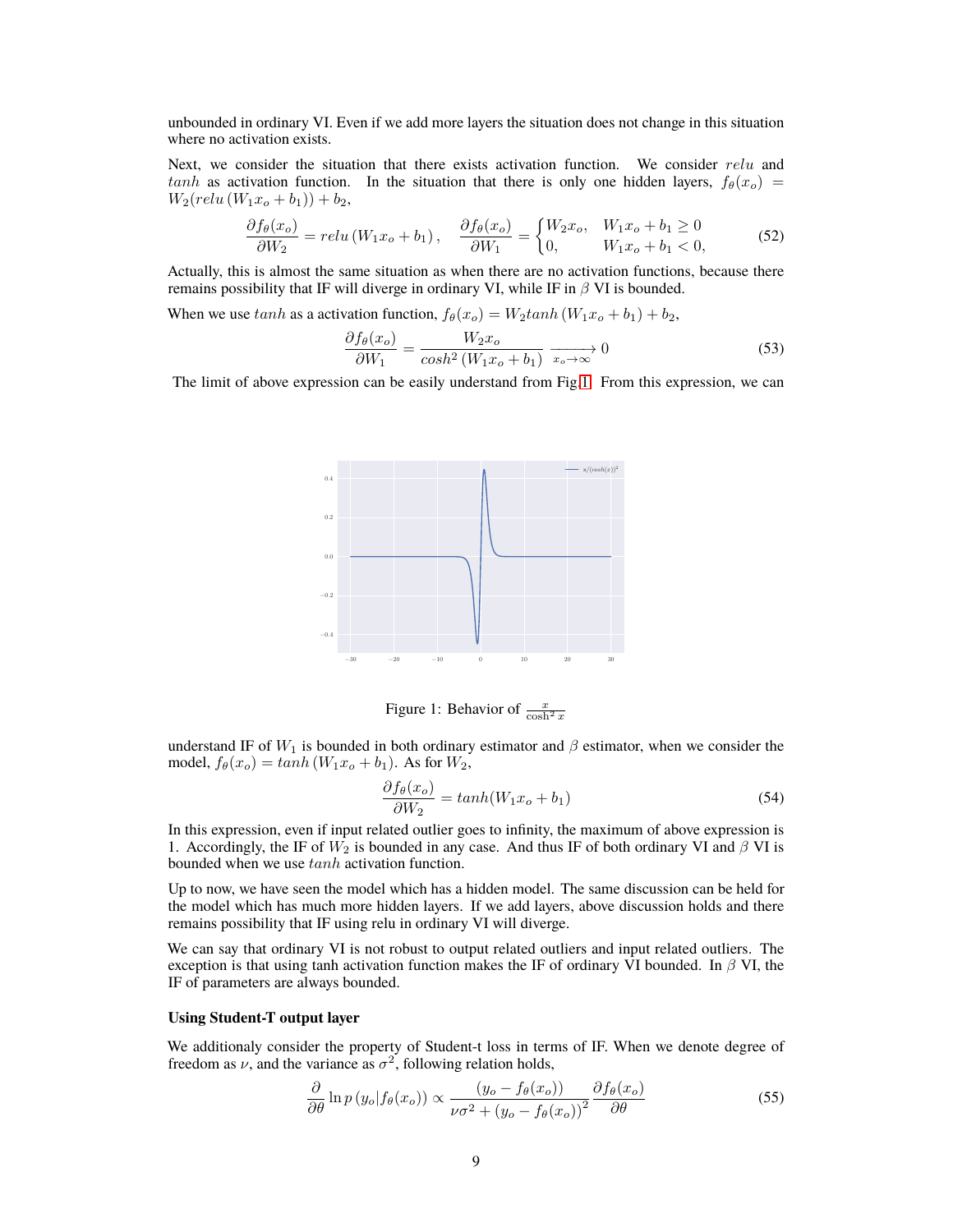unbounded in ordinary VI. Even if we add more layers the situation does not change in this situation where no activation exists.

Next, we consider the situation that there exists activation function. We consider *relu* and *tanh* as activation function. In the situation that there is only one hidden layers,  $f_\theta(x_o)$  =  $W_2(\text{relu}(W_1x_o + b_1)) + b_2,$ 

$$
\frac{\partial f_{\theta}(x_o)}{\partial W_2} = relu\left(W_1 x_o + b_1\right), \quad \frac{\partial f_{\theta}(x_o)}{\partial W_1} = \begin{cases} W_2 x_o, & W_1 x_o + b_1 \ge 0\\ 0, & W_1 x_o + b_1 < 0, \end{cases} \tag{52}
$$

Actually, this is almost the same situation as when there are no activation functions, because there remains possibility that IF will diverge in ordinary VI, while IF in *β* VI is bounded.

When we use  $tanh$  as a activation function,  $f_{\theta}(x_o) = W_2 tanh(W_1x_o + b_1) + b_2$ ,

$$
\frac{\partial f_{\theta}(x_o)}{\partial W_1} = \frac{W_2 x_o}{\cosh^2 \left(W_1 x_o + b_1\right)} \xrightarrow[x_o \to \infty]{} 0 \tag{53}
$$

The limit of above expression can be easily understand from Fig[.1.](#page-8-0) From this expression, we can



<span id="page-8-0"></span>Figure 1: Behavior of  $\frac{x}{\cosh^2 x}$ 

understand IF of  $W_1$  is bounded in both ordinary estimator and  $\beta$  estimator, when we consider the model,  $f_{\theta}(x_o) = \tanh(W_1 x_o + b_1)$ . As for  $W_2$ ,

$$
\frac{\partial f_{\theta}(x_o)}{\partial W_2} = \tanh(W_1 x_o + b_1) \tag{54}
$$

In this expression, even if input related outlier goes to infinity, the maximum of above expression is 1. Accordingly, the IF of  $W_2$  is bounded in any case. And thus IF of both ordinary VI and  $\beta$  VI is bounded when we use *tanh* activation function.

Up to now, we have seen the model which has a hidden model. The same discussion can be held for the model which has much more hidden layers. If we add layers, above discussion holds and there remains possibility that IF using relu in ordinary VI will diverge.

We can say that ordinary VI is not robust to output related outliers and input related outliers. The exception is that using tanh activation function makes the IF of ordinary VI bounded. In *β* VI, the IF of parameters are always bounded.

#### **Using Student-T output layer**

We additionaly consider the property of Student-t loss in terms of IF. When we denote degree of freedom as  $\nu$ , and the variance as  $\sigma^2$ , following relation holds,

<span id="page-8-1"></span>
$$
\frac{\partial}{\partial \theta} \ln p \left( y_o | f_{\theta}(x_o) \right) \propto \frac{\left( y_o - f_{\theta}(x_o) \right)}{\nu \sigma^2 + \left( y_o - f_{\theta}(x_o) \right)^2} \frac{\partial f_{\theta}(x_o)}{\partial \theta} \tag{55}
$$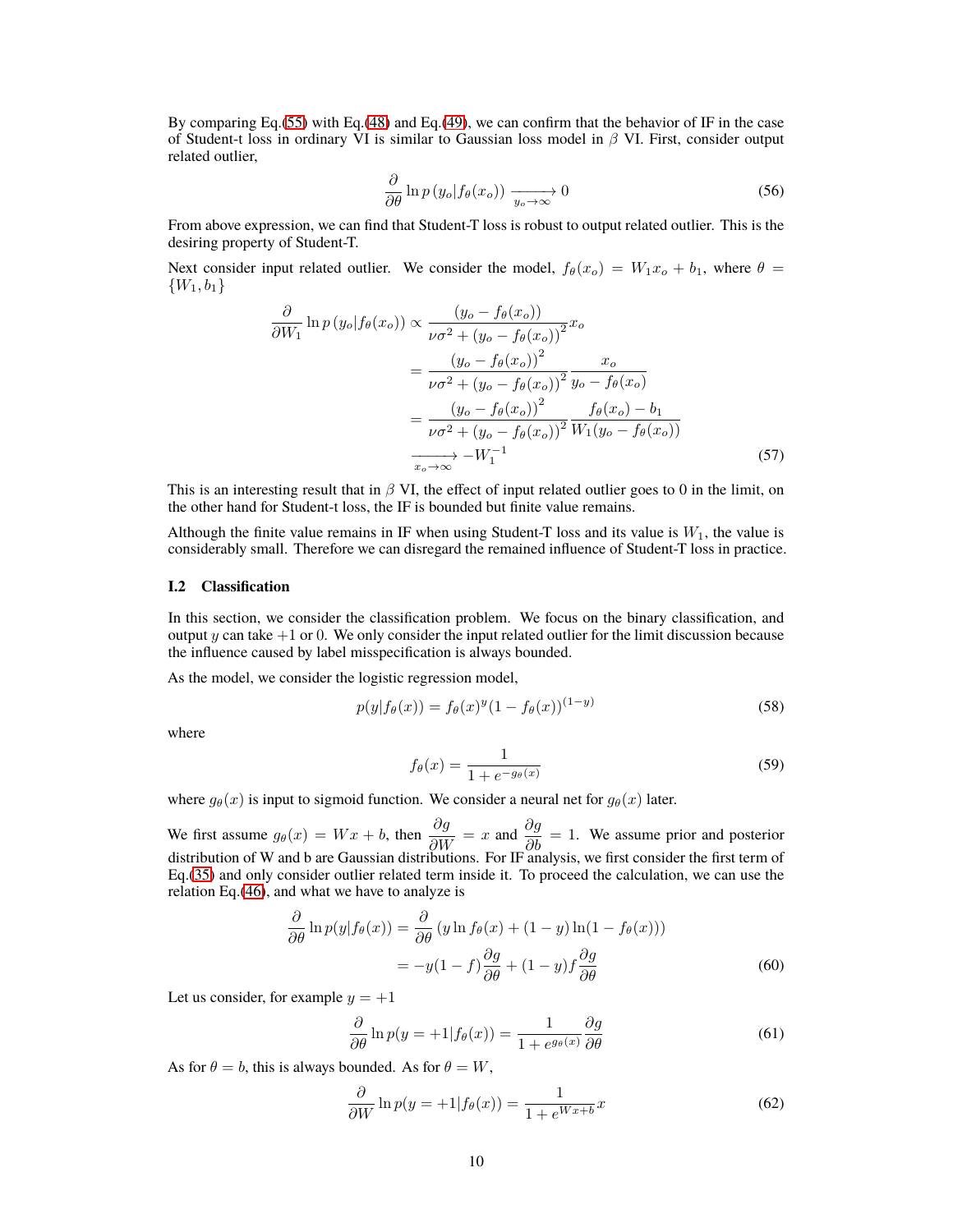By comparing Eq.[\(55\)](#page-8-1) with Eq.[\(48\)](#page-7-1) and Eq.[\(49\)](#page-7-0), we can confirm that the behavior of IF in the case of Student-t loss in ordinary VI is similar to Gaussian loss model in *β* VI. First, consider output related outlier,

$$
\frac{\partial}{\partial \theta} \ln p \left( y_o | f_{\theta}(x_o) \right) \xrightarrow[y_o \to \infty]{} 0 \tag{56}
$$

From above expression, we can find that Student-T loss is robust to output related outlier. This is the desiring property of Student-T.

Next consider input related outlier. We consider the model,  $f_{\theta}(x_o) = W_1 x_o + b_1$ , where  $\theta =$ *{W*1*, b*1*}*

$$
\frac{\partial}{\partial W_1} \ln p(y_o|f_{\theta}(x_o)) \propto \frac{(y_o - f_{\theta}(x_o))}{\nu \sigma^2 + (y_o - f_{\theta}(x_o))^2} x_o
$$
\n
$$
= \frac{(y_o - f_{\theta}(x_o))^2}{\nu \sigma^2 + (y_o - f_{\theta}(x_o))^2} \frac{x_o}{y_o - f_{\theta}(x_o)}
$$
\n
$$
= \frac{(y_o - f_{\theta}(x_o))^2}{\nu \sigma^2 + (y_o - f_{\theta}(x_o))^2} \frac{f_{\theta}(x_o) - b_1}{W_1(y_o - f_{\theta}(x_o))}
$$
\n
$$
\xrightarrow[x_o \to \infty]{} W_1^{-1}
$$
\n(57)

This is an interesting result that in *β* VI, the effect of input related outlier goes to 0 in the limit, on the other hand for Student-t loss, the IF is bounded but finite value remains.

Although the finite value remains in IF when using Student-T loss and its value is  $W_1$ , the value is considerably small. Therefore we can disregard the remained influence of Student-T loss in practice.

#### **I.2 Classification**

In this section, we consider the classification problem. We focus on the binary classification, and output *y* can take  $+1$  or 0. We only consider the input related outlier for the limit discussion because the influence caused by label misspecification is always bounded.

As the model, we consider the logistic regression model,

$$
p(y|f_{\theta}(x)) = f_{\theta}(x)^{y} (1 - f_{\theta}(x))^{(1 - y)}
$$
\n(58)

where

$$
f_{\theta}(x) = \frac{1}{1 + e^{-g_{\theta}(x)}}
$$
\n(59)

where  $g_{\theta}(x)$  is input to sigmoid function. We consider a neural net for  $g_{\theta}(x)$  later.

We first assume  $g_{\theta}(x) = Wx + b$ , then  $\frac{\partial g}{\partial W} = x$  and  $\frac{\partial g}{\partial b} = 1$ . We assume prior and posterior distribution of W and b are Gaussian distributions. For IF analysis, we first consider the first term of Eq.[\(35\)](#page-4-0) and only consider outlier related term inside it. To proceed the calculation, we can use the relation Eq.[\(46\)](#page-6-0), and what we have to analyze is

$$
\frac{\partial}{\partial \theta} \ln p(y|f_{\theta}(x)) = \frac{\partial}{\partial \theta} (y \ln f_{\theta}(x) + (1 - y) \ln(1 - f_{\theta}(x)))
$$

$$
= -y(1 - f) \frac{\partial g}{\partial \theta} + (1 - y) f \frac{\partial g}{\partial \theta}
$$
(60)

Let us consider, for example  $y = +1$ 

$$
\frac{\partial}{\partial \theta} \ln p(y = +1 | f_{\theta}(x)) = \frac{1}{1 + e^{g_{\theta}(x)}} \frac{\partial g}{\partial \theta}
$$
(61)

As for  $\theta = b$ , this is always bounded. As for  $\theta = W$ ,

$$
\frac{\partial}{\partial W} \ln p(y = +1 | f_{\theta}(x)) = \frac{1}{1 + e^{Wx + b}} x \tag{62}
$$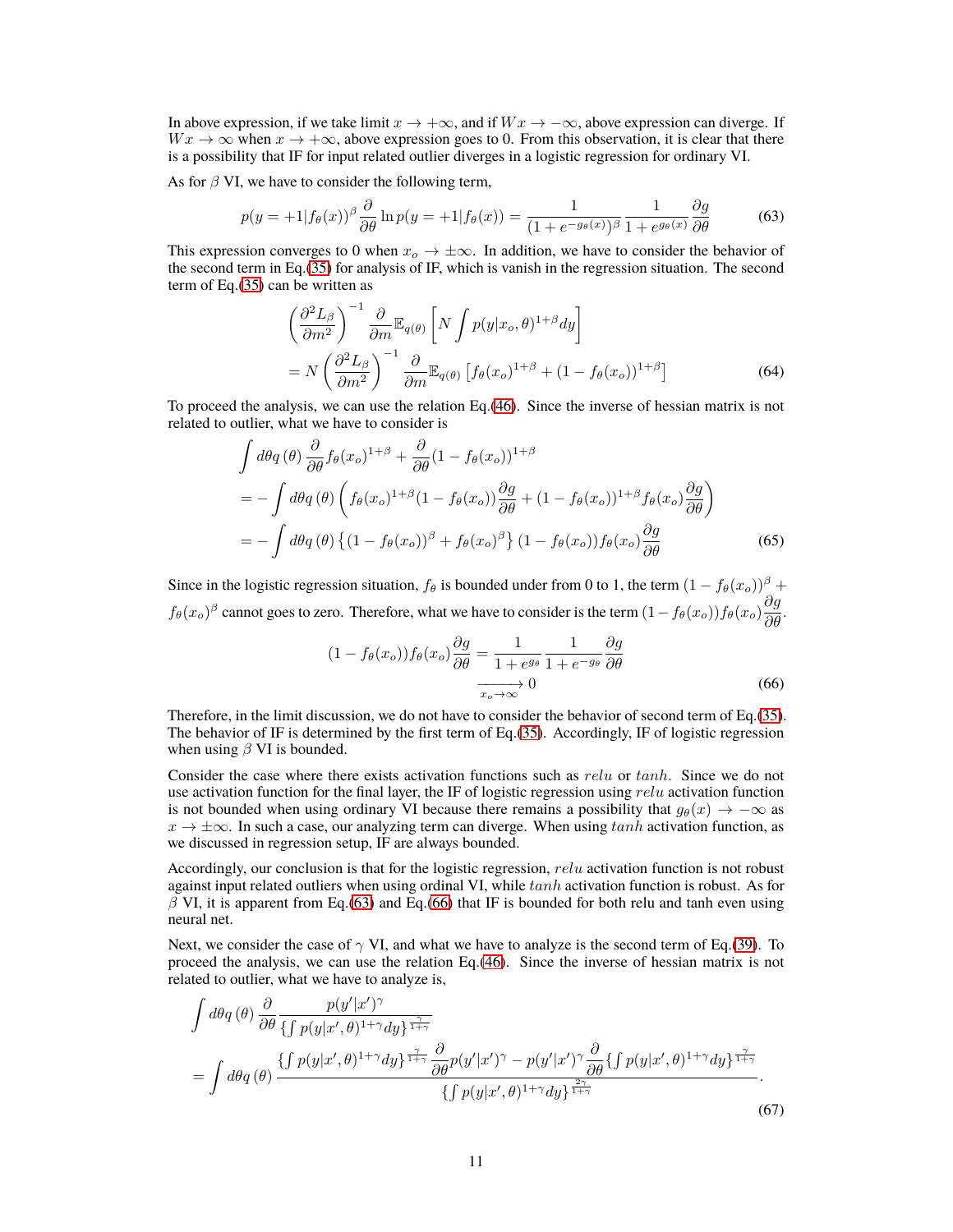In above expression, if we take limit  $x \to +\infty$ , and if  $Wx \to -\infty$ , above expression can diverge. If  $Wx \to \infty$  when  $x \to +\infty$ , above expression goes to 0. From this observation, it is clear that there is a possibility that IF for input related outlier diverges in a logistic regression for ordinary VI.

As for  $\beta$  VI, we have to consider the following term,

$$
p(y = +1|f_{\theta}(x)) \frac{\partial}{\partial \theta} \ln p(y = +1|f_{\theta}(x)) = \frac{1}{(1 + e^{-g_{\theta}(x)})^{\beta}} \frac{1}{1 + e^{g_{\theta}(x)}} \frac{\partial g}{\partial \theta}
$$
(63)

This expression converges to 0 when  $x_o \to \pm \infty$ . In addition, we have to consider the behavior of the second term in Eq.[\(35\)](#page-4-0) for analysis of IF, which is vanish in the regression situation. The second term of Eq.[\(35\)](#page-4-0) can be written as

<span id="page-10-0"></span>
$$
\left(\frac{\partial^2 L_{\beta}}{\partial m^2}\right)^{-1} \frac{\partial}{\partial m} \mathbb{E}_{q(\theta)} \left[ N \int p(y|x_o, \theta)^{1+\beta} dy \right]
$$
  
=  $N \left(\frac{\partial^2 L_{\beta}}{\partial m^2}\right)^{-1} \frac{\partial}{\partial m} \mathbb{E}_{q(\theta)} \left[ f_{\theta}(x_o)^{1+\beta} + (1 - f_{\theta}(x_o))^{1+\beta} \right]$  (64)

To proceed the analysis, we can use the relation Eq.[\(46\)](#page-6-0). Since the inverse of hessian matrix is not related to outlier, what we have to consider is

$$
\int d\theta q(\theta) \frac{\partial}{\partial \theta} f_{\theta}(x_o)^{1+\beta} + \frac{\partial}{\partial \theta} (1 - f_{\theta}(x_o))^{1+\beta}
$$
\n
$$
= -\int d\theta q(\theta) \left( f_{\theta}(x_o)^{1+\beta} (1 - f_{\theta}(x_o)) \frac{\partial g}{\partial \theta} + (1 - f_{\theta}(x_o))^{1+\beta} f_{\theta}(x_o) \frac{\partial g}{\partial \theta} \right)
$$
\n
$$
= -\int d\theta q(\theta) \left\{ (1 - f_{\theta}(x_o))^{\beta} + f_{\theta}(x_o)^{\beta} \right\} (1 - f_{\theta}(x_o)) f_{\theta}(x_o) \frac{\partial g}{\partial \theta} \tag{65}
$$

Since in the logistic regression situation,  $f_\theta$  is bounded under from 0 to 1, the term  $(1 - f_\theta(x_o))^{\beta}$  +  $f_{\theta}(x_o)^{\beta}$  cannot goes to zero. Therefore, what we have to consider is the term  $(1 - f_{\theta}(x_o)) f_{\theta}(x_o) \frac{\partial g}{\partial \theta}$ .

<span id="page-10-2"></span><span id="page-10-1"></span>
$$
(1 - f_{\theta}(x_o)) f_{\theta}(x_o) \frac{\partial g}{\partial \theta} = \frac{1}{1 + e^{g_{\theta}}} \frac{1}{1 + e^{-g_{\theta}}} \frac{\partial g}{\partial \theta}
$$
  

$$
\xrightarrow[x_o \to \infty]{x_o \to \infty} 0
$$
 (66)

Therefore, in the limit discussion, we do not have to consider the behavior of second term of Eq.[\(35\)](#page-4-0). The behavior of IF is determined by the first term of Eq.[\(35\)](#page-4-0). Accordingly, IF of logistic regression when using *β* VI is bounded.

Consider the case where there exists activation functions such as *relu* or *tanh*. Since we do not use activation function for the final layer, the IF of logistic regression using *relu* activation function is not bounded when using ordinary VI because there remains a possibility that  $q_{\theta}(x) \rightarrow -\infty$  as *x → ±∞*. In such a case, our analyzing term can diverge. When using *tanh* activation function, as we discussed in regression setup, IF are always bounded.

Accordingly, our conclusion is that for the logistic regression, *relu* activation function is not robust against input related outliers when using ordinal VI, while *tanh* activation function is robust. As for *β* VI, it is apparent from Eq.[\(63\)](#page-10-0) and Eq.[\(66\)](#page-10-1) that IF is bounded for both relu and tanh even using neural net.

Next, we consider the case of  $\gamma$  VI, and what we have to analyze is the second term of Eq.[\(39\)](#page-5-3). To proceed the analysis, we can use the relation Eq.[\(46\)](#page-6-0). Since the inverse of hessian matrix is not related to outlier, what we have to analyze is,

$$
\int d\theta q(\theta) \frac{\partial}{\partial \theta} \frac{p(y'|x')^{\gamma}}{\{ \int p(y|x',\theta)^{1+\gamma} dy \}^{\frac{\gamma}{1+\gamma}}} \n= \int d\theta q(\theta) \frac{\{ \int p(y|x',\theta)^{1+\gamma} dy \}^{\frac{\gamma}{1+\gamma}}}{\{ \int p(y|x',\theta)^{1+\gamma} dy \}^{\frac{\gamma}{1+\gamma}}} \frac{\partial}{\{ \int p(y|x',\theta)^{1+\gamma} dy \}^{\frac{\gamma}{1+\gamma}}}.
$$
\n(67)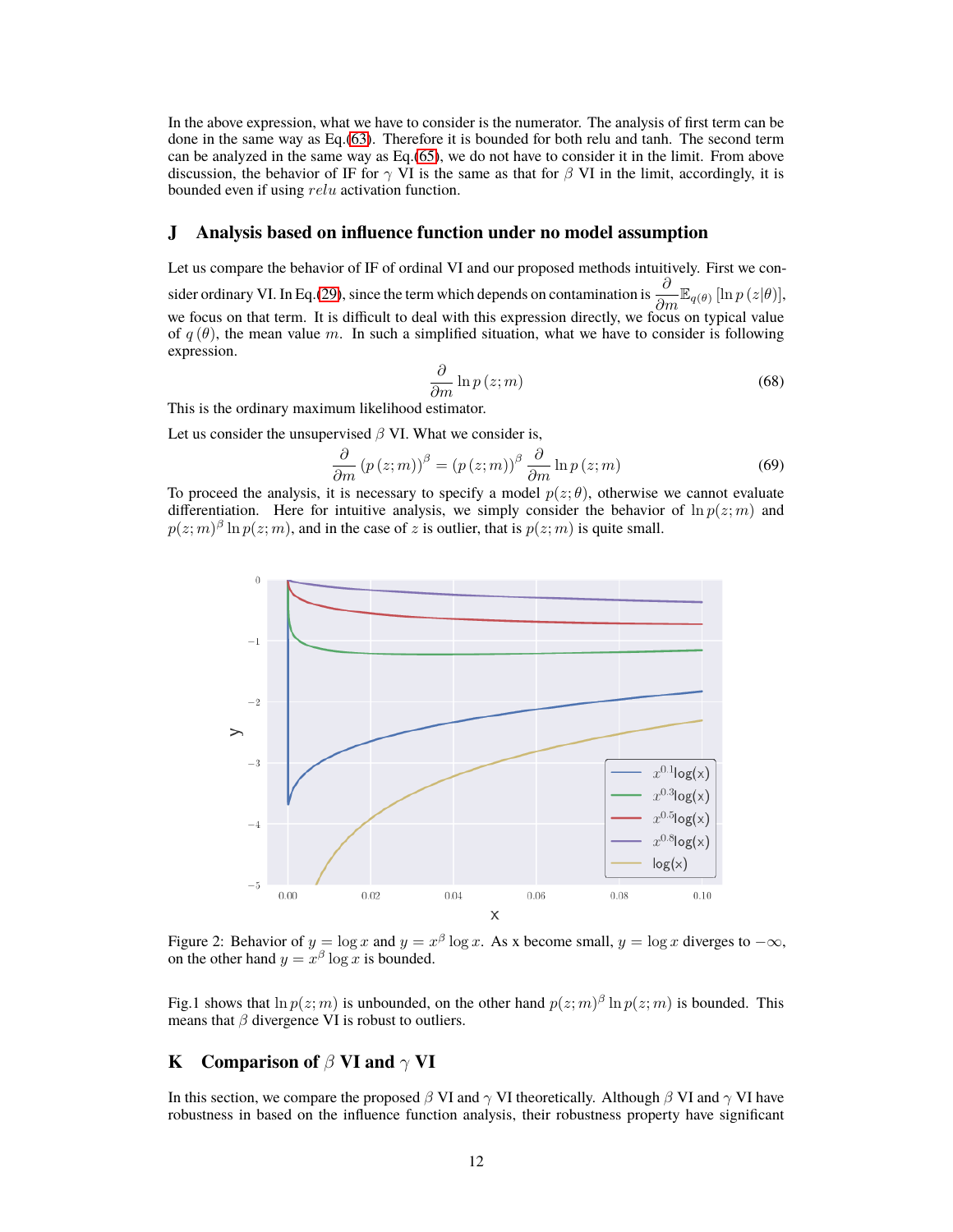In the above expression, what we have to consider is the numerator. The analysis of first term can be done in the same way as Eq.[\(63\)](#page-10-0). Therefore it is bounded for both relu and tanh. The second term can be analyzed in the same way as Eq.[\(65\)](#page-10-2), we do not have to consider it in the limit. From above discussion, the behavior of IF for  $\gamma$  VI is the same as that for  $\beta$  VI in the limit, accordingly, it is bounded even if using *relu* activation function.

### <span id="page-11-0"></span>**J Analysis based on influence function under no model assumption**

Let us compare the behavior of IF of ordinal VI and our proposed methods intuitively. First we con-

sider ordinary VI. In Eq.[\(29\)](#page-3-1), since the term which depends on contamination is  $\frac{\partial}{\partial m} \mathbb{E}_{q(\theta)} [\ln p(z|\theta)],$ we focus on that term. It is difficult to deal with this expression directly, we focus on typical value of  $q(\theta)$ , the mean value *m*. In such a simplified situation, what we have to consider is following expression.

$$
\frac{\partial}{\partial m} \ln p(z; m) \tag{68}
$$

This is the ordinary maximum likelihood estimator.

Let us consider the unsupervised *β* VI. What we consider is,

$$
\frac{\partial}{\partial m} (p(z;m))^{\beta} = (p(z;m))^{\beta} \frac{\partial}{\partial m} \ln p(z;m)
$$
\n(69)

To proceed the analysis, it is necessary to specify a model  $p(z; \theta)$ , otherwise we cannot evaluate differentiation. Here for intuitive analysis, we simply consider the behavior of  $\ln p(z; m)$  and  $p(z; m)$ <sup>β</sup> ln  $p(z; m)$ , and in the case of *z* is outlier, that is  $p(z; m)$  is quite small.



Figure 2: Behavior of  $y = \log x$  and  $y = x^{\beta} \log x$ . As x become small,  $y = \log x$  diverges to  $-\infty$ , on the other hand  $y = x^{\beta} \log x$  is bounded.

Fig.1 shows that  $\ln p(z; m)$  is unbounded, on the other hand  $p(z; m)$ <sup> $\beta$ </sup>  $\ln p(z; m)$  is bounded. This means that  $\beta$  divergence VI is robust to outliers.

## **K Comparison of** *β* **VI and** *γ* **VI**

In this section, we compare the proposed *β* VI and *γ* VI theoretically. Although *β* VI and *γ* VI have robustness in based on the influence function analysis, their robustness property have significant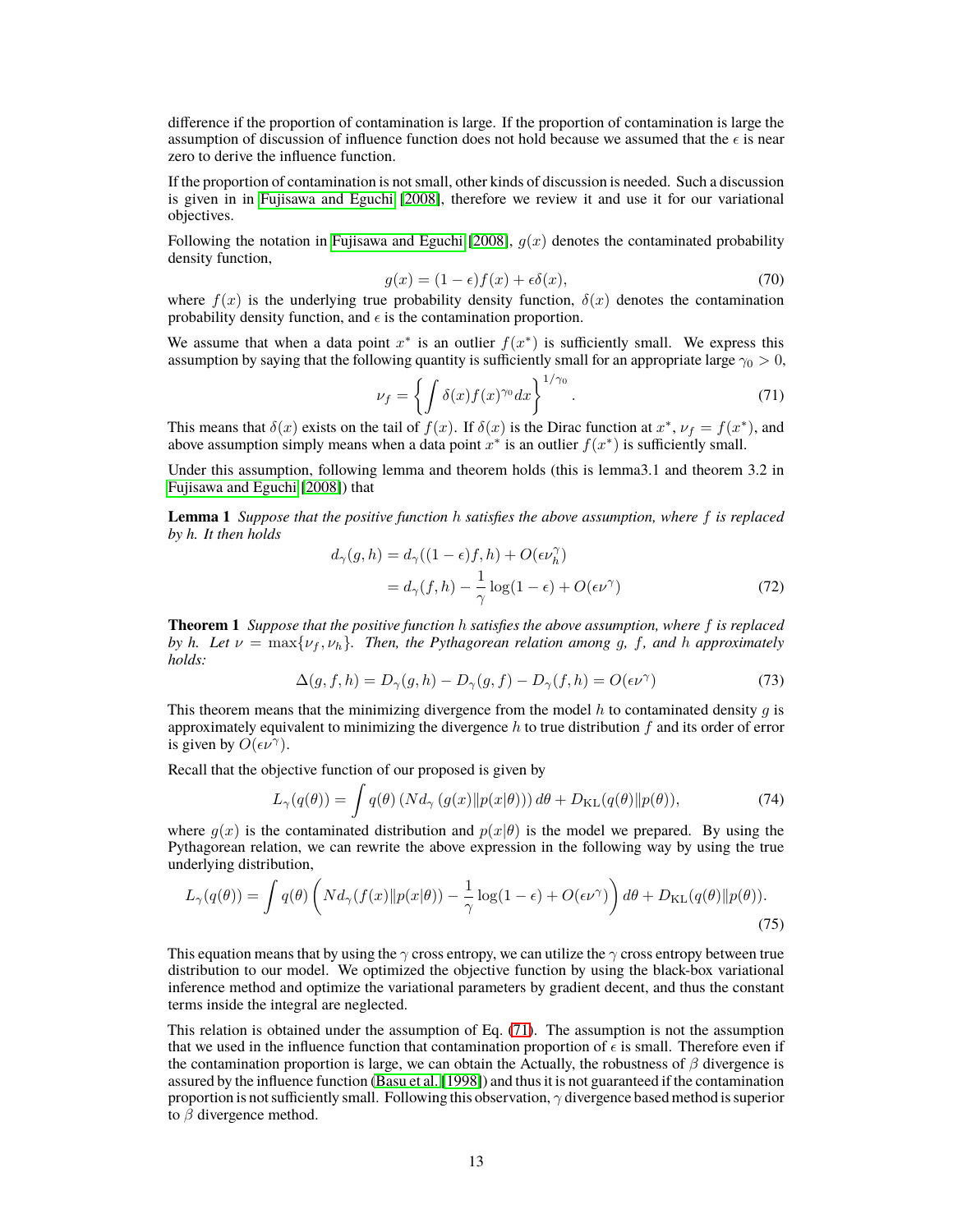difference if the proportion of contamination is large. If the proportion of contamination is large the assumption of discussion of influence function does not hold because we assumed that the  $\epsilon$  is near zero to derive the influence function.

If the proportion of contamination is not small, other kinds of discussion is needed. Such a discussion is given in in [Fujisawa and Eguchi](#page-16-0) [\[2008\]](#page-16-0), therefore we review it and use it for our variational objectives.

Following the notation in [Fujisawa and Eguchi](#page-16-0) [\[2008\]](#page-16-0),  $q(x)$  denotes the contaminated probability density function,

$$
g(x) = (1 - \epsilon)f(x) + \epsilon \delta(x),\tag{70}
$$

where  $f(x)$  is the underlying true probability density function,  $\delta(x)$  denotes the contamination probability density function, and  $\epsilon$  is the contamination proportion.

We assume that when a data point  $x^*$  is an outlier  $f(x^*)$  is sufficiently small. We express this assumption by saying that the following quantity is sufficiently small for an appropriate large  $\gamma_0 > 0$ ,

<span id="page-12-1"></span>
$$
\nu_f = \left\{ \int \delta(x) f(x)^{\gamma_0} dx \right\}^{1/\gamma_0}.
$$
 (71)

This means that  $\delta(x)$  exists on the tail of  $f(x)$ . If  $\delta(x)$  is the Dirac function at  $x^*$ ,  $\nu_f = f(x^*)$ , and above assumption simply means when a data point  $x^*$  is an outlier  $f(x^*)$  is sufficiently small.

Under this assumption, following lemma and theorem holds (this is lemma3.1 and theorem 3.2 in [Fujisawa and Eguchi](#page-16-0) [\[2008\]](#page-16-0)) that

**Lemma 1** *Suppose that the positive function h satisfies the above assumption, where f is replaced by h. It then holds*

$$
d_{\gamma}(g, h) = d_{\gamma}((1 - \epsilon)f, h) + O(\epsilon \nu_h^{\gamma})
$$
  
= 
$$
d_{\gamma}(f, h) - \frac{1}{\gamma} \log(1 - \epsilon) + O(\epsilon \nu^{\gamma})
$$
 (72)

<span id="page-12-0"></span>**Theorem 1** *Suppose that the positive function h satisfies the above assumption, where f is replaced by h. Let*  $\nu = \max\{\nu_f, \nu_h\}$ *. Then, the Pythagorean relation among g, f, and h approximately holds:*

$$
\Delta(g, f, h) = D_{\gamma}(g, h) - D_{\gamma}(g, f) - D_{\gamma}(f, h) = O(\epsilon \nu^{\gamma})
$$
\n(73)

This theorem means that the minimizing divergence from the model *h* to contaminated density *g* is approximately equivalent to minimizing the divergence *h* to true distribution *f* and its order of error is given by  $O(\epsilon \nu^{\gamma})$ .

Recall that the objective function of our proposed is given by

$$
L_{\gamma}(q(\theta)) = \int q(\theta) \left( N d_{\gamma} \left( g(x) || p(x|\theta) \right) \right) d\theta + D_{\text{KL}}(q(\theta) || p(\theta)), \tag{74}
$$

where  $g(x)$  is the contaminated distribution and  $p(x|\theta)$  is the model we prepared. By using the Pythagorean relation, we can rewrite the above expression in the following way by using the true underlying distribution,

$$
L_{\gamma}(q(\theta)) = \int q(\theta) \left( N d_{\gamma}(f(x) \| p(x|\theta)) - \frac{1}{\gamma} \log(1 - \epsilon) + O(\epsilon \nu^{\gamma}) \right) d\theta + D_{\text{KL}}(q(\theta) \| p(\theta)).
$$
\n(75)

This equation means that by using the *γ* cross entropy, we can utilize the *γ* cross entropy between true distribution to our model. We optimized the objective function by using the black-box variational inference method and optimize the variational parameters by gradient decent, and thus the constant terms inside the integral are neglected.

This relation is obtained under the assumption of Eq. [\(71\)](#page-12-1). The assumption is not the assumption that we used in the influence function that contamination proportion of  $\epsilon$  is small. Therefore even if the contamination proportion is large, we can obtain the Actually, the robustness of *β* divergence is assured by the influence function [\(Basu et al.](#page-16-1) [\[1998\]](#page-16-1)) and thus it is not guaranteed if the contamination proportion is not sufficiently small. Following this observation, *γ* divergence based method is superior to *β* divergence method.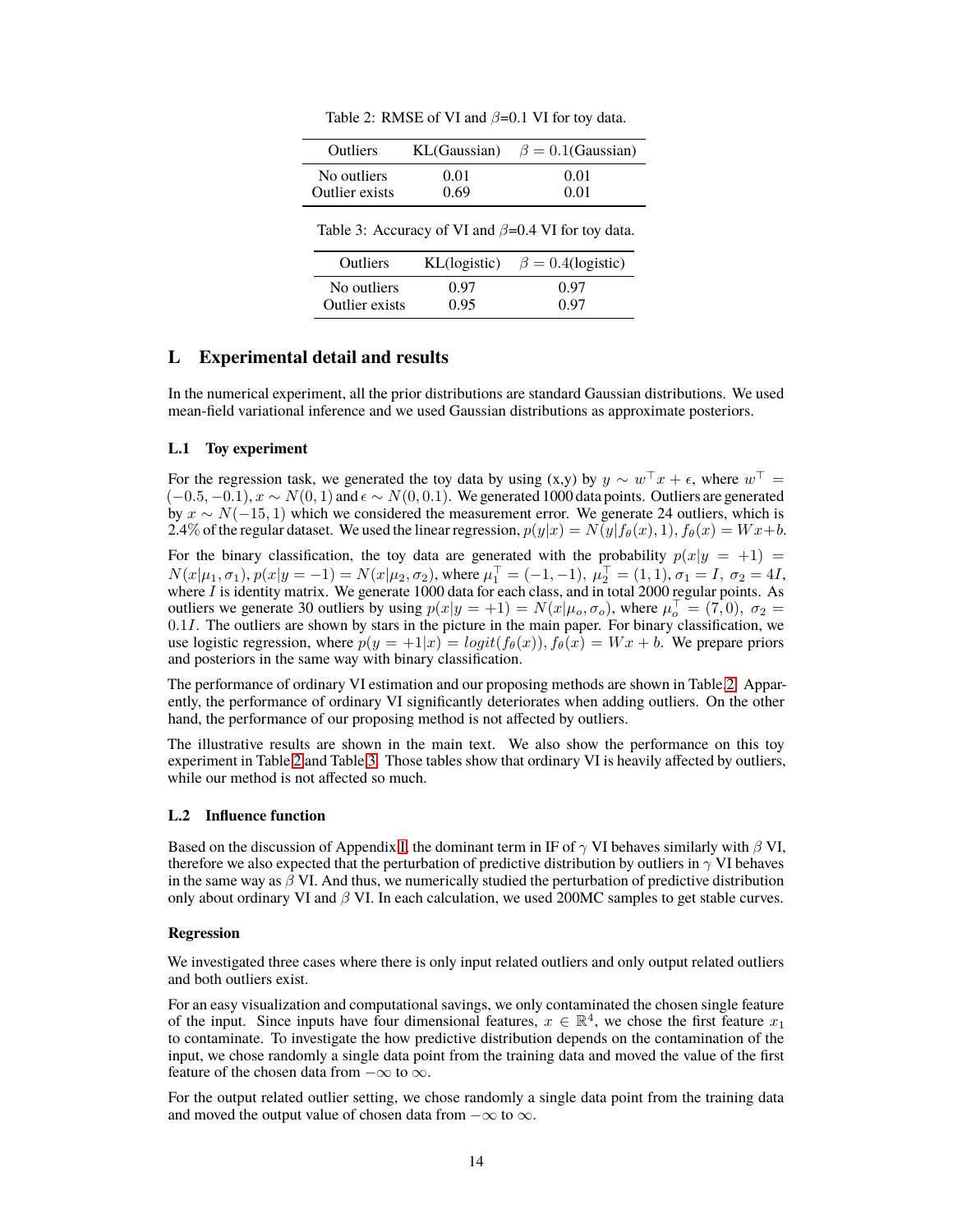<span id="page-13-1"></span>

| Outliers                                                  | KL(Gaussian) | $\beta = 0.1$ (Gaussian) |  |  |
|-----------------------------------------------------------|--------------|--------------------------|--|--|
| No outliers                                               | 0.01         | 0.01                     |  |  |
| Outlier exists                                            | 0.69         | 0.01                     |  |  |
| Table 3: Accuracy of VI and $\beta$ =0.4 VI for toy data. |              |                          |  |  |
| Outliers                                                  | KL(logistic) | $\beta = 0.4$ (logistic) |  |  |
| No outliers                                               | 0.97         | 0.97                     |  |  |
| Outlier exists                                            | 0.95         |                          |  |  |

<span id="page-13-0"></span>Table 2: RMSE of VI and *β*=0.1 VI for toy data.

## **L Experimental detail and results**

In the numerical experiment, all the prior distributions are standard Gaussian distributions. We used mean-field variational inference and we used Gaussian distributions as approximate posteriors.

#### **L.1 Toy experiment**

For the regression task, we generated the toy data by using (x,y) by  $y \sim w^{\top} x + \epsilon$ , where  $w^{\top} =$  $(-0.5, -0.1), x \sim N(0, 1)$  and  $\epsilon \sim N(0, 0.1)$ . We generated 1000 data points. Outliers are generated by *x ∼ N*(*−*15*,* 1) which we considered the measurement error. We generate 24 outliers, which is 2.4% of the regular dataset. We used the linear regression,  $p(y|x) = N(y|f_{\theta}(x), 1)$ ,  $f_{\theta}(x) = Wx + b$ .

For the binary classification, the toy data are generated with the probability  $p(x|y = +1)$  =  $N(x|\mu_1, \sigma_1), p(x|y = -1) = N(x|\mu_2, \sigma_2)$ , where  $\mu_1^{\top} = (-1, -1), \mu_2^{\top} = (1, 1), \sigma_1 = I, \sigma_2 = 4I$ , where *I* is identity matrix. We generate 1000 data for each class, and in total 2000 regular points. As outliers we generate 30 outliers by using  $p(x|y = +1) = N(x|\mu_o, \sigma_o)$ , where  $\mu_o^{\top} = (7, 0)$ ,  $\sigma_2 =$ 0*.*1*I*. The outliers are shown by stars in the picture in the main paper. For binary classification, we use logistic regression, where  $p(y = +1|x) = logit(f_{\theta}(x))$ ,  $f_{\theta}(x) = Wx + b$ . We prepare priors and posteriors in the same way with binary classification.

The performance of ordinary VI estimation and our proposing methods are shown in Table[.2.](#page-13-0) Apparently, the performance of ordinary VI significantly deteriorates when adding outliers. On the other hand, the performance of our proposing method is not affected by outliers.

The illustrative results are shown in the main text. We also show the performance on this toy experiment in Table [2](#page-13-0) and Table [3.](#page-13-1) Those tables show that ordinary VI is heavily affected by outliers, while our method is not affected so much.

#### **L.2 Influence function**

Based on the discussion of Appendix [I,](#page-6-1) the dominant term in IF of *γ* VI behaves similarly with *β* VI, therefore we also expected that the perturbation of predictive distribution by outliers in *γ* VI behaves in the same way as *β* VI. And thus, we numerically studied the perturbation of predictive distribution only about ordinary VI and *β* VI. In each calculation, we used 200MC samples to get stable curves.

#### **Regression**

We investigated three cases where there is only input related outliers and only output related outliers and both outliers exist.

For an easy visualization and computational savings, we only contaminated the chosen single feature of the input. Since inputs have four dimensional features,  $x \in \mathbb{R}^4$ , we chose the first feature  $x_1$ to contaminate. To investigate the how predictive distribution depends on the contamination of the input, we chose randomly a single data point from the training data and moved the value of the first feature of the chosen data from *−∞* to *∞*.

For the output related outlier setting, we chose randomly a single data point from the training data and moved the output value of chosen data from *−∞* to *∞*.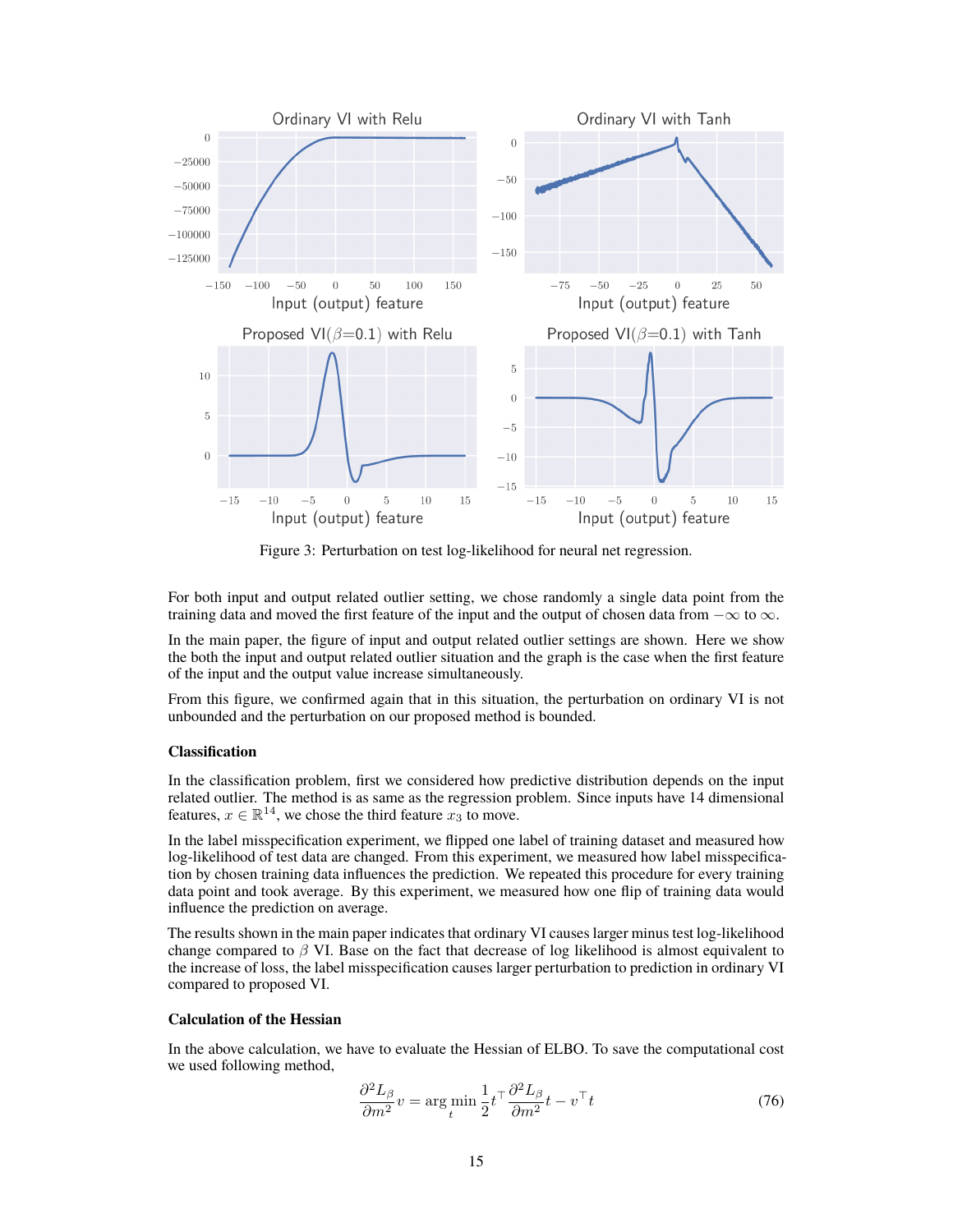

Figure 3: Perturbation on test log-likelihood for neural net regression.

For both input and output related outlier setting, we chose randomly a single data point from the training data and moved the first feature of the input and the output of chosen data from *−∞* to *∞*.

In the main paper, the figure of input and output related outlier settings are shown. Here we show the both the input and output related outlier situation and the graph is the case when the first feature of the input and the output value increase simultaneously.

From this figure, we confirmed again that in this situation, the perturbation on ordinary VI is not unbounded and the perturbation on our proposed method is bounded.

#### **Classification**

In the classification problem, first we considered how predictive distribution depends on the input related outlier. The method is as same as the regression problem. Since inputs have 14 dimensional features,  $x \in \mathbb{R}^{14}$ , we chose the third feature  $x_3$  to move.

In the label misspecification experiment, we flipped one label of training dataset and measured how log-likelihood of test data are changed. From this experiment, we measured how label misspecification by chosen training data influences the prediction. We repeated this procedure for every training data point and took average. By this experiment, we measured how one flip of training data would influence the prediction on average.

The results shown in the main paper indicates that ordinary VI causes larger minus test log-likelihood change compared to *β* VI. Base on the fact that decrease of log likelihood is almost equivalent to the increase of loss, the label misspecification causes larger perturbation to prediction in ordinary VI compared to proposed VI.

## **Calculation of the Hessian**

In the above calculation, we have to evaluate the Hessian of ELBO. To save the computational cost we used following method,

$$
\frac{\partial^2 L_\beta}{\partial m^2} v = \arg\min_t \frac{1}{2} t^\top \frac{\partial^2 L_\beta}{\partial m^2} t - v^\top t \tag{76}
$$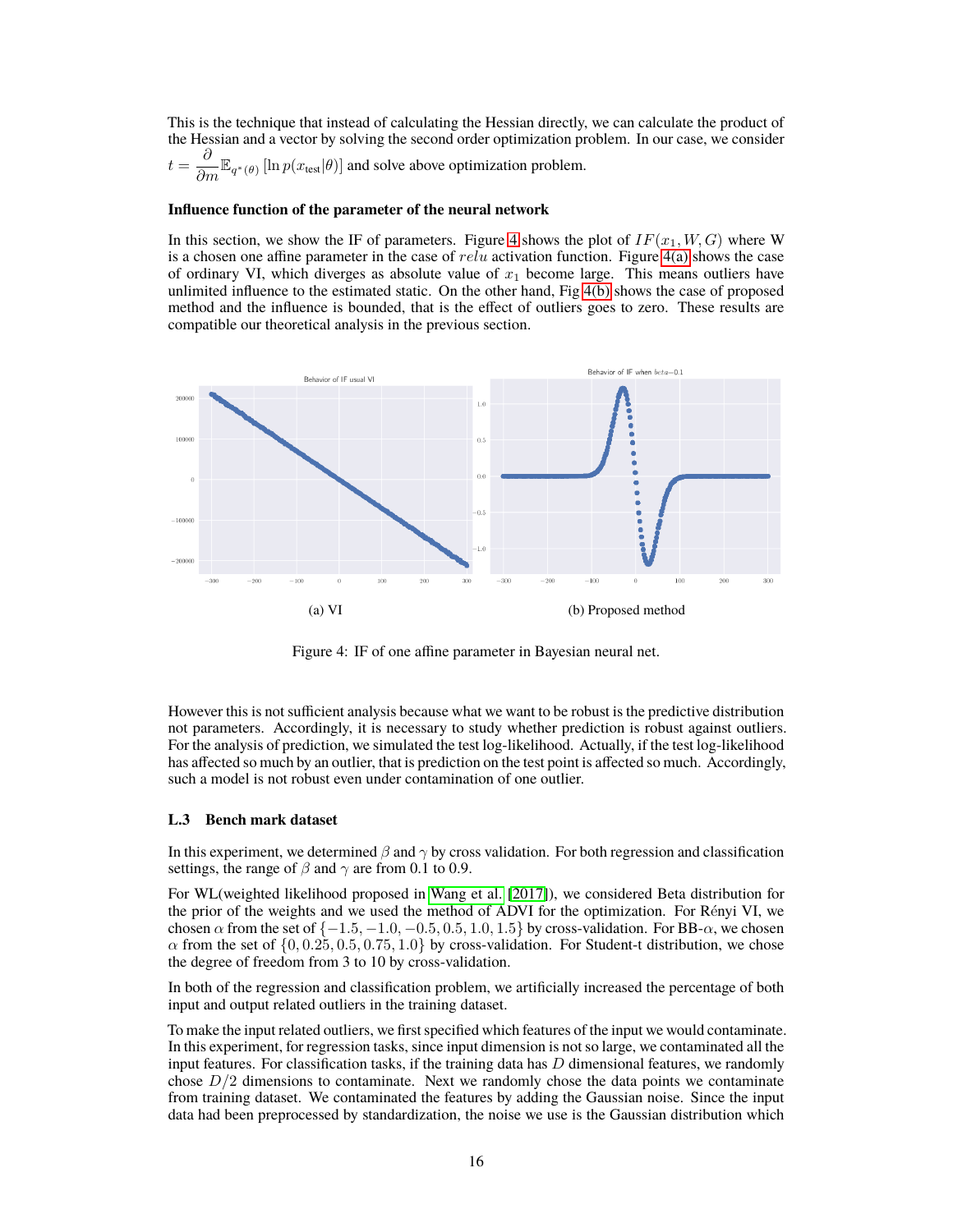This is the technique that instead of calculating the Hessian directly, we can calculate the product of the Hessian and a vector by solving the second order optimization problem. In our case, we consider

$$
t = \frac{\partial}{\partial m} \mathbb{E}_{q^*(\theta)} [\ln p(x_{\text{test}}|\theta)]
$$
 and solve above optimization problem.

#### **Influence function of the parameter of the neural network**

In this section, we show the IF of parameters. Figure [4](#page-15-0) shows the plot of  $IF(x_1, W, G)$  where W is a chosen one affine parameter in the case of *relu* activation function. Figure [4\(a\)](#page-15-1) shows the case of ordinary VI, which diverges as absolute value of  $x_1$  become large. This means outliers have unlimited influence to the estimated static. On the other hand, Fig [4\(b\)](#page-15-2) shows the case of proposed method and the influence is bounded, that is the effect of outliers goes to zero. These results are compatible our theoretical analysis in the previous section.



<span id="page-15-2"></span><span id="page-15-0"></span>Figure 4: IF of one affine parameter in Bayesian neural net.

<span id="page-15-1"></span>However this is not sufficient analysis because what we want to be robust is the predictive distribution not parameters. Accordingly, it is necessary to study whether prediction is robust against outliers. For the analysis of prediction, we simulated the test log-likelihood. Actually, if the test log-likelihood has affected so much by an outlier, that is prediction on the test point is affected so much. Accordingly, such a model is not robust even under contamination of one outlier.

#### **L.3 Bench mark dataset**

In this experiment, we determined *β* and *γ* by cross validation. For both regression and classification settings, the range of  $\beta$  and  $\gamma$  are from 0.1 to 0.9.

For WL(weighted likelihood proposed in [Wang et al.](#page-16-2) [\[2017\]](#page-16-2)), we considered Beta distribution for the prior of the weights and we used the method of ADVI for the optimization. For Rényi VI, we chosen  $\alpha$  from the set of  $\{-1.5, -1.0, -0.5, 0.5, 1.0, 1.5\}$  by cross-validation. For BB- $\alpha$ , we chosen  $\alpha$  from the set of  $\{0, 0.25, 0.5, 0.75, 1.0\}$  by cross-validation. For Student-t distribution, we chose the degree of freedom from 3 to 10 by cross-validation.

In both of the regression and classification problem, we artificially increased the percentage of both input and output related outliers in the training dataset.

To make the input related outliers, we first specified which features of the input we would contaminate. In this experiment, for regression tasks, since input dimension is not so large, we contaminated all the input features. For classification tasks, if the training data has *D* dimensional features, we randomly chose  $D/2$  dimensions to contaminate. Next we randomly chose the data points we contaminate from training dataset. We contaminated the features by adding the Gaussian noise. Since the input data had been preprocessed by standardization, the noise we use is the Gaussian distribution which